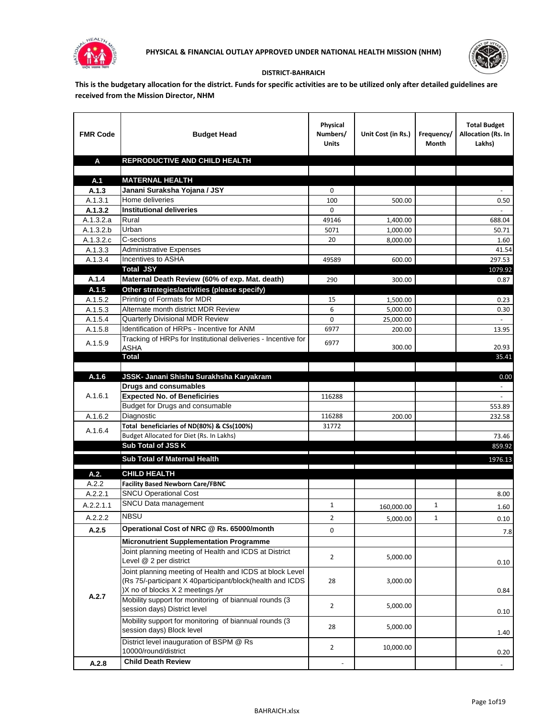



## **DISTRICT-BAHRAICH**

**This is the budgetary allocation for the district. Funds for specific activities are to be utilized only after detailed guidelines are received from the Mission Director, NHM**

| <b>FMR Code</b>        | <b>Budget Head</b>                                                           | Physical<br>Numbers/<br><b>Units</b> | Unit Cost (in Rs.)                                      | Frequency/<br>Month | <b>Total Budget</b><br>Allocation (Rs. In<br>Lakhs) |
|------------------------|------------------------------------------------------------------------------|--------------------------------------|---------------------------------------------------------|---------------------|-----------------------------------------------------|
| A                      | REPRODUCTIVE AND CHILD HEALTH                                                |                                      |                                                         |                     |                                                     |
|                        |                                                                              |                                      |                                                         |                     |                                                     |
| A.1                    | <b>MATERNAL HEALTH</b>                                                       |                                      |                                                         |                     |                                                     |
| A.1.3                  | Janani Suraksha Yojana / JSY                                                 | 0                                    |                                                         |                     |                                                     |
| A.1.3.1                | Home deliveries                                                              | 100                                  | 500.00                                                  |                     | 0.50                                                |
| A.1.3.2                | <b>Institutional deliveries</b>                                              | 0                                    |                                                         |                     |                                                     |
| A.1.3.2.a              | Rural                                                                        | 49146                                | 1,400.00                                                |                     | 688.04                                              |
| $\overline{A.1.3.2.b}$ | Urban                                                                        | 5071                                 | 1,000.00                                                |                     | 50.71                                               |
| A.1.3.2.c              | C-sections                                                                   | 20                                   | 8,000.00                                                |                     | 1.60                                                |
| A.1.3.3                | <b>Administrative Expenses</b>                                               |                                      |                                                         |                     | 41.54                                               |
| A.1.3.4                | Incentives to ASHA                                                           | 49589                                | 600.00                                                  |                     | 297.53                                              |
|                        | <b>Total JSY</b>                                                             |                                      |                                                         |                     | 1079.92                                             |
| A.1.4                  | Maternal Death Review (60% of exp. Mat. death)                               | 290                                  | 300.00                                                  |                     | 0.87                                                |
| A.1.5                  | Other strategies/activities (please specify)                                 |                                      |                                                         |                     |                                                     |
| A.1.5.2                | Printing of Formats for MDR                                                  | 15                                   | 1,500.00                                                |                     | 0.23                                                |
| A.1.5.3                | Alternate month district MDR Review                                          | 6                                    | 5,000.00                                                |                     | 0.30                                                |
| A.1.5.4                | Quarterly Divisional MDR Review                                              | 0                                    | 25,000.00                                               |                     |                                                     |
| A.1.5.8                | Identification of HRPs - Incentive for ANM                                   | 6977                                 | 200.00                                                  |                     | 13.95                                               |
| A.1.5.9                | Tracking of HRPs for Institutional deliveries - Incentive for<br><b>ASHA</b> | 6977                                 | 300.00                                                  |                     | 20.93                                               |
|                        | Total                                                                        |                                      |                                                         |                     | 35.41                                               |
|                        |                                                                              |                                      |                                                         |                     |                                                     |
| A.1.6                  | JSSK- Janani Shishu Surakhsha Karyakram                                      |                                      |                                                         |                     | 0.00                                                |
|                        | <b>Drugs and consumables</b>                                                 |                                      |                                                         |                     |                                                     |
| A.1.6.1                | <b>Expected No. of Beneficiries</b>                                          | 116288                               |                                                         |                     | $\omega$                                            |
|                        | Budget for Drugs and consumable                                              |                                      |                                                         |                     | 553.89                                              |
| A.1.6.2                | Diagnostic                                                                   | 116288                               | 200.00                                                  |                     | 232.58                                              |
|                        | Total beneficiaries of ND(80%) & CSs(100%)                                   | 31772                                |                                                         |                     |                                                     |
| A.1.6.4                | Budget Allocated for Diet (Rs. In Lakhs)                                     |                                      |                                                         |                     | 73.46                                               |
|                        | Sub Total of JSS K                                                           |                                      |                                                         |                     | 859.92                                              |
|                        | Sub Total of Maternal Health                                                 |                                      |                                                         |                     | 1976.13                                             |
|                        |                                                                              |                                      | <u> 1989 - Johann Stein, fransk politiker (d. 1989)</u> |                     |                                                     |
| A.2.                   | <b>CHILD HEALTH</b>                                                          |                                      |                                                         |                     |                                                     |
| A.2.2                  | <b>Facility Based Newborn Care/FBNC</b>                                      |                                      |                                                         |                     |                                                     |
| A.2.2.1                | <b>SNCU Operational Cost</b>                                                 |                                      |                                                         |                     | 8.00                                                |
| A.2.2.1.1              | SNCU Data management                                                         | $\mathbf{1}$                         | 160,000.00                                              | 1                   | 1.60                                                |
| A.2.2.2                | <b>NBSU</b>                                                                  | $\overline{2}$                       | 5,000.00                                                | 1                   | 0.10                                                |
| A.2.5                  | Operational Cost of NRC @ Rs. 65000/month                                    | 0                                    |                                                         |                     | 7.8                                                 |
|                        | <b>Micronutrient Supplementation Programme</b>                               |                                      |                                                         |                     |                                                     |
|                        | Joint planning meeting of Health and ICDS at District                        |                                      |                                                         |                     |                                                     |
|                        | Level @ 2 per district                                                       | $\overline{2}$                       | 5,000.00                                                |                     | 0.10                                                |
|                        | Joint planning meeting of Health and ICDS at block Level                     |                                      |                                                         |                     |                                                     |
|                        | (Rs 75/-participant X 40participant/block(health and ICDS                    | 28                                   | 3,000.00                                                |                     |                                                     |
|                        | )X no of blocks X 2 meetings /yr                                             |                                      |                                                         |                     | 0.84                                                |
| A.2.7                  | Mobility support for monitoring of biannual rounds (3                        |                                      |                                                         |                     |                                                     |
|                        | session days) District level                                                 | $\overline{2}$                       | 5,000.00                                                |                     | 0.10                                                |
|                        | Mobility support for monitoring of biannual rounds (3                        |                                      |                                                         |                     |                                                     |
|                        | session days) Block level                                                    | 28                                   | 5,000.00                                                |                     | 1.40                                                |
|                        | District level inauguration of BSPM @ Rs                                     |                                      |                                                         |                     |                                                     |
|                        | 10000/round/district                                                         | $\overline{2}$                       | 10,000.00                                               |                     | 0.20                                                |
| A.2.8                  | <b>Child Death Review</b>                                                    |                                      |                                                         |                     | $\overline{\phantom{a}}$                            |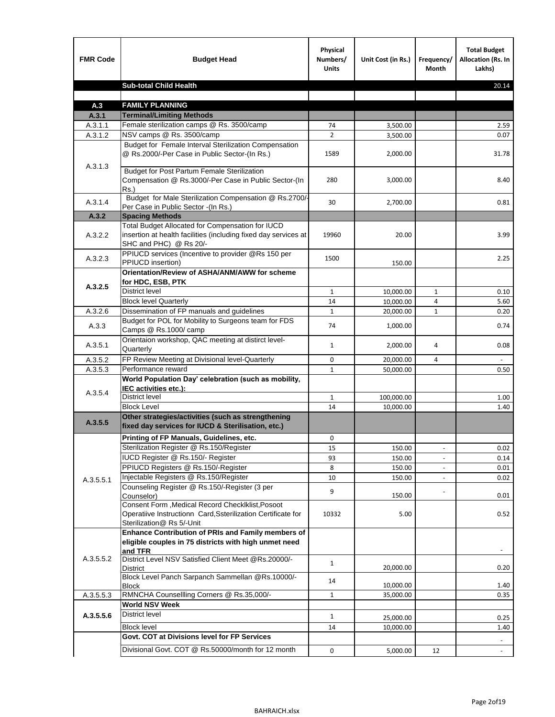| <b>FMR Code</b>    | <b>Budget Head</b>                                                                                                                             | Physical<br>Numbers/<br><b>Units</b> | Unit Cost (in Rs.) | Frequency/<br>Month | <b>Total Budget</b><br><b>Allocation (Rs. In</b><br>Lakhs) |
|--------------------|------------------------------------------------------------------------------------------------------------------------------------------------|--------------------------------------|--------------------|---------------------|------------------------------------------------------------|
|                    | <b>Sub-total Child Health</b>                                                                                                                  |                                      |                    |                     | 20.14                                                      |
|                    |                                                                                                                                                |                                      |                    |                     |                                                            |
| A.3                | <b>FAMILY PLANNING</b>                                                                                                                         |                                      |                    |                     |                                                            |
| A.3.1              | <b>Terminal/Limiting Methods</b>                                                                                                               |                                      |                    |                     |                                                            |
| A.3.1.1<br>A.3.1.2 | Female sterilization camps @ Rs. 3500/camp<br>NSV camps @ Rs. 3500/camp                                                                        | 74<br>$\overline{2}$                 | 3,500.00           |                     | 2.59<br>0.07                                               |
|                    | Budget for Female Interval Sterilization Compensation                                                                                          |                                      | 3,500.00           |                     |                                                            |
| A.3.1.3            | @ Rs.2000/-Per Case in Public Sector-(In Rs.)                                                                                                  | 1589                                 | 2,000.00           |                     | 31.78                                                      |
|                    | <b>Budget for Post Partum Female Sterilization</b><br>Compensation @ Rs.3000/-Per Case in Public Sector-(In<br>$Rs.$ )                         | 280                                  | 3,000.00           |                     | 8.40                                                       |
| A.3.1.4            | Budget for Male Sterilization Compensation @ Rs.2700/-<br>Per Case in Public Sector -(In Rs.)                                                  | 30                                   | 2,700.00           |                     | 0.81                                                       |
| A.3.2              | <b>Spacing Methods</b>                                                                                                                         |                                      |                    |                     |                                                            |
| A.3.2.2            | Total Budget Allocated for Compensation for IUCD<br>insertion at health facilities (including fixed day services at<br>SHC and PHC) @ Rs 20/-  | 19960                                | 20.00              |                     | 3.99                                                       |
| A.3.2.3            | PPIUCD services (Incentive to provider @Rs 150 per<br>PPIUCD insertion)                                                                        | 1500                                 | 150.00             |                     | 2.25                                                       |
| A.3.2.5            | Orientation/Review of ASHA/ANM/AWW for scheme<br>for HDC, ESB, PTK                                                                             |                                      |                    |                     |                                                            |
|                    | <b>District level</b>                                                                                                                          | $\mathbf{1}$                         | 10,000.00          | $\mathbf{1}$        | 0.10                                                       |
|                    | <b>Block level Quarterly</b>                                                                                                                   | 14                                   | 10,000.00          | 4                   | 5.60                                                       |
| A.3.2.6            | Dissemination of FP manuals and guidelines                                                                                                     | $\mathbf{1}$                         | 20,000.00          | 1                   | 0.20                                                       |
| A.3.3              | Budget for POL for Mobility to Surgeons team for FDS<br>Camps @ Rs.1000/camp                                                                   | 74                                   | 1,000.00           |                     | 0.74                                                       |
| A.3.5.1            | Orientaion workshop, QAC meeting at distirct level-<br>Quarterly                                                                               | 1                                    | 2,000.00           | 4                   | 0.08                                                       |
| A.3.5.2            | FP Review Meeting at Divisional level-Quarterly                                                                                                | 0                                    | 20,000.00          | 4                   |                                                            |
| A.3.5.3            | Performance reward                                                                                                                             | $\mathbf{1}$                         | 50,000.00          |                     | 0.50                                                       |
| A.3.5.4            | World Population Day' celebration (such as mobility,<br>IEC activities etc.):                                                                  |                                      |                    |                     |                                                            |
|                    | District level                                                                                                                                 | $\mathbf{1}$                         | 100,000.00         |                     | 1.00                                                       |
|                    | <b>Block Level</b>                                                                                                                             | 14                                   | 10,000.00          |                     | 1.40                                                       |
| A.3.5.5            | Other strategies/activities (such as strengthening<br>fixed day services for IUCD & Sterilisation, etc.)                                       |                                      |                    |                     |                                                            |
|                    | Printing of FP Manuals, Guidelines, etc.                                                                                                       | 0                                    |                    |                     |                                                            |
|                    | Sterilization Register @ Rs.150/Register                                                                                                       | 15                                   | 150.00             |                     | 0.02                                                       |
|                    | IUCD Register @ Rs.150/- Register                                                                                                              | 93                                   | 150.00             |                     | 0.14                                                       |
|                    | PPIUCD Registers @ Rs.150/-Register                                                                                                            | 8                                    | 150.00             |                     | 0.01                                                       |
| A.3.5.5.1          | Injectable Registers @ Rs.150/Register                                                                                                         | 10                                   | 150.00             |                     | 0.02                                                       |
|                    | Counseling Register @ Rs.150/-Register (3 per<br>Counselor)                                                                                    | 9                                    | 150.00             |                     | 0.01                                                       |
|                    | Consent Form , Medical Record CheckIklist, Posoot<br>Operatiive Instructionn Card, Ssterilization Certificate for<br>Sterilization@ Rs 5/-Unit | 10332                                | 5.00               |                     | 0.52                                                       |
|                    | Enhance Contribution of PRIs and Family members of<br>eligible couples in 75 districts with high unmet need<br>and TFR                         |                                      |                    |                     |                                                            |
| A.3.5.5.2          | District Level NSV Satisfied Client Meet @Rs.20000/-<br><b>District</b>                                                                        | $\mathbf{1}$                         | 20,000.00          |                     | 0.20                                                       |
|                    | Block Level Panch Sarpanch Sammellan @Rs.10000/-<br><b>Block</b>                                                                               | 14                                   | 10,000.00          |                     | 1.40                                                       |
| A.3.5.5.3          | RMNCHA Counsellling Corners @ Rs.35,000/-                                                                                                      | $\mathbf{1}$                         | 35,000.00          |                     | 0.35                                                       |
|                    | <b>World NSV Week</b>                                                                                                                          |                                      |                    |                     |                                                            |
| A.3.5.5.6          | <b>District level</b>                                                                                                                          | $\mathbf{1}$                         | 25,000.00          |                     | 0.25                                                       |
|                    | <b>Block level</b>                                                                                                                             | 14                                   | 10,000.00          |                     | 1.40                                                       |
|                    | Govt. COT at Divisions level for FP Services                                                                                                   |                                      |                    |                     |                                                            |
|                    | Divisional Govt. COT @ Rs.50000/month for 12 month                                                                                             | 0                                    | 5,000.00           | 12                  |                                                            |
|                    |                                                                                                                                                |                                      |                    |                     |                                                            |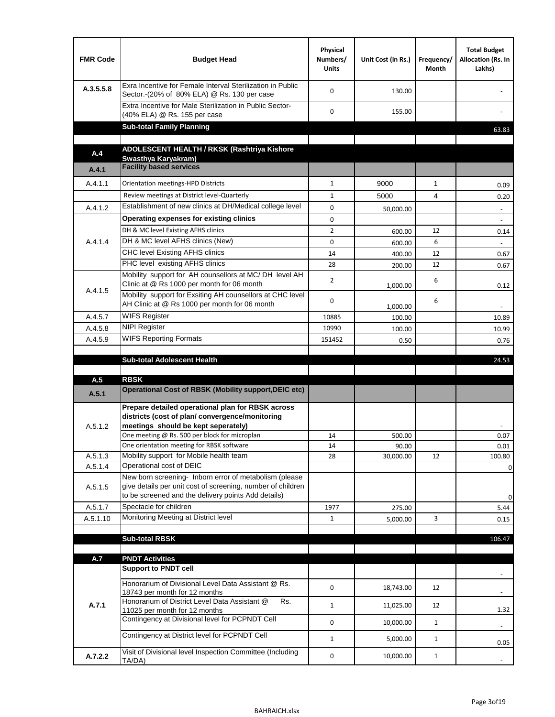| <b>FMR Code</b>    | <b>Budget Head</b>                                                                                                                                                                          | Physical<br>Numbers/<br><b>Units</b> | Unit Cost (in Rs.) | Frequency/<br>Month | <b>Total Budget</b><br>Allocation (Rs. In<br>Lakhs) |
|--------------------|---------------------------------------------------------------------------------------------------------------------------------------------------------------------------------------------|--------------------------------------|--------------------|---------------------|-----------------------------------------------------|
| A.3.5.5.8          | Exra Incentive for Female Interval Sterilization in Public<br>Sector.-(20% of 80% ELA) @ Rs. 130 per case                                                                                   | $\Omega$                             | 130.00             |                     |                                                     |
|                    | Extra Incentive for Male Sterilization in Public Sector-<br>(40% ELA) @ Rs. 155 per case                                                                                                    | $\Omega$                             | 155.00             |                     |                                                     |
|                    | <b>Sub-total Family Planning</b>                                                                                                                                                            |                                      |                    |                     | 63.83                                               |
|                    | ADOLESCENT HEALTH / RKSK (Rashtriya Kishore                                                                                                                                                 |                                      |                    |                     |                                                     |
| A.4                | Swasthya Karyakram)                                                                                                                                                                         |                                      |                    |                     |                                                     |
| A.4.1              | <b>Facility based services</b>                                                                                                                                                              |                                      |                    |                     |                                                     |
| A.4.1.1            | Orientation meetings-HPD Districts                                                                                                                                                          | $\mathbf{1}$                         | 9000               | $\mathbf{1}$        | 0.09                                                |
|                    | Review meetings at District level-Quarterly                                                                                                                                                 | $\mathbf{1}$                         | 5000               | 4                   | 0.20                                                |
| A.4.1.2            | Establishment of new clinics at DH/Medical college level                                                                                                                                    | $\Omega$                             | 50,000.00          |                     | $\overline{\phantom{a}}$                            |
|                    | Operating expenses for existing clinics                                                                                                                                                     | 0                                    |                    |                     |                                                     |
|                    | DH & MC level Existing AFHS clinics                                                                                                                                                         | $\overline{2}$                       | 600.00             | 12                  | 0.14                                                |
| A.4.1.4            | DH & MC level AFHS clinics (New)                                                                                                                                                            | 0                                    | 600.00             | 6                   |                                                     |
|                    | <b>CHC level Existing AFHS clinics</b>                                                                                                                                                      | 14                                   | 400.00             | 12                  | 0.67                                                |
|                    | PHC level existing AFHS clinics                                                                                                                                                             | 28                                   | 200.00             | 12                  | 0.67                                                |
| A.4.1.5            | Mobility support for AH counsellors at MC/DH level AH<br>Clinic at @ Rs 1000 per month for 06 month                                                                                         | $\overline{2}$                       | 1,000.00           | 6                   | 0.12                                                |
|                    | Mobility support for Exsiting AH counsellors at CHC level<br>AH Clinic at @ Rs 1000 per month for 06 month                                                                                  | 0                                    | 1,000.00           | 6                   |                                                     |
| A.4.5.7            | <b>WIFS Register</b>                                                                                                                                                                        | 10885                                | 100.00             |                     | 10.89                                               |
| A.4.5.8            | <b>NIPI Register</b>                                                                                                                                                                        | 10990                                | 100.00             |                     | 10.99                                               |
| A.4.5.9            | <b>WIFS Reporting Formats</b>                                                                                                                                                               | 151452                               | 0.50               |                     | 0.76                                                |
|                    | <b>Sub-total Adolescent Health</b>                                                                                                                                                          |                                      |                    |                     | 24.53                                               |
| A.5                | <b>RBSK</b>                                                                                                                                                                                 |                                      |                    |                     |                                                     |
| A.5.1              | <b>Operational Cost of RBSK (Mobility support, DEIC etc)</b>                                                                                                                                |                                      |                    |                     |                                                     |
| A.5.1.2            | Prepare detailed operational plan for RBSK across<br>districts (cost of plan/convergence/monitoring<br>meetings should be kept seperately)<br>One meeting @ Rs. 500 per block for microplan | 14                                   | 500.00             |                     | 0.07                                                |
|                    | One orientation meeting for RBSK software<br>Mobility support for Mobile health team                                                                                                        | 14                                   | 90.00              |                     | 0.01                                                |
| A.5.1.3<br>A.5.1.4 | Operational cost of DEIC                                                                                                                                                                    | 28                                   | 30,000.00          | 12                  | 100.80<br>0                                         |
| A.5.1.5            | New born screening- Inborn error of metabolism (please<br>give details per unit cost of screening, number of children<br>to be screened and the delivery points Add details)                |                                      |                    |                     | 0                                                   |
| A.5.1.7            | Spectacle for children                                                                                                                                                                      | 1977                                 | 275.00             |                     | 5.44                                                |
| A.5.1.10           | Monitoring Meeting at District level                                                                                                                                                        | $\mathbf{1}$                         | 5,000.00           | 3                   | 0.15                                                |
|                    |                                                                                                                                                                                             |                                      |                    |                     |                                                     |
|                    | <b>Sub-total RBSK</b>                                                                                                                                                                       |                                      |                    |                     | 106.47                                              |
| A.7                | <b>PNDT Activities</b>                                                                                                                                                                      |                                      |                    |                     |                                                     |
|                    | <b>Support to PNDT cell</b>                                                                                                                                                                 |                                      |                    |                     |                                                     |
|                    | Honorarium of Divisional Level Data Assistant @ Rs.<br>18743 per month for 12 months<br>Honorarium of District Level Data Assistant @<br>Rs.                                                | 0                                    | 18,743.00          | 12                  |                                                     |
| A.7.1              | 11025 per month for 12 months                                                                                                                                                               | $\mathbf{1}$                         | 11,025.00          | 12                  | 1.32                                                |
|                    | Contingency at Divisional level for PCPNDT Cell                                                                                                                                             | 0                                    | 10,000.00          | $\mathbf{1}$        | $\overline{\phantom{a}}$                            |
|                    | Contingency at District level for PCPNDT Cell                                                                                                                                               | $\mathbf{1}$                         | 5,000.00           | $\mathbf{1}$        | 0.05                                                |
| A.7.2.2            | Visit of Divisional level Inspection Committee (Including<br>TA/DA)                                                                                                                         | 0                                    | 10,000.00          | $\mathbf{1}$        |                                                     |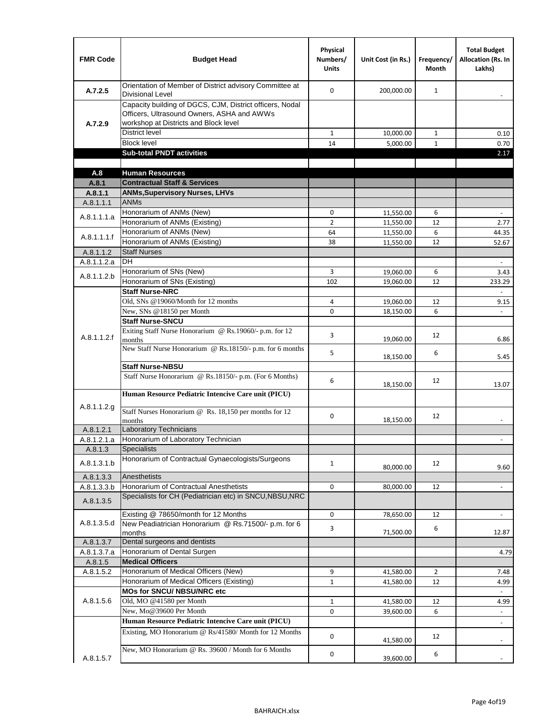| <b>FMR Code</b>      | <b>Budget Head</b>                                                                                                                              | Physical<br>Numbers/<br><b>Units</b> | Unit Cost (in Rs.)     | Frequency/<br><b>Month</b> | <b>Total Budget</b><br><b>Allocation (Rs. In</b><br>Lakhs) |
|----------------------|-------------------------------------------------------------------------------------------------------------------------------------------------|--------------------------------------|------------------------|----------------------------|------------------------------------------------------------|
| A.7.2.5              | Orientation of Member of District advisory Committee at<br><b>Divisional Level</b>                                                              | $\Omega$                             | 200,000.00             | $\mathbf{1}$               | $\overline{\phantom{m}}$                                   |
| A.7.2.9              | Capacity building of DGCS, CJM, District officers, Nodal<br>Officers, Ultrasound Owners, ASHA and AWWs<br>workshop at Districts and Block level |                                      |                        |                            |                                                            |
|                      | <b>District level</b>                                                                                                                           | $\mathbf{1}$                         | 10,000.00              | 1                          | 0.10                                                       |
|                      | <b>Block level</b>                                                                                                                              | 14                                   | 5,000.00               | $\mathbf{1}$               | 0.70                                                       |
|                      | <b>Sub-total PNDT activities</b>                                                                                                                |                                      |                        |                            | 2.17                                                       |
|                      |                                                                                                                                                 |                                      |                        |                            |                                                            |
| A.8                  | <b>Human Resources</b>                                                                                                                          |                                      |                        |                            |                                                            |
| A.8.1                | <b>Contractual Staff &amp; Services</b>                                                                                                         |                                      |                        |                            |                                                            |
| A.8.1.1<br>A.8.1.1.1 | <b>ANMs, Supervisory Nurses, LHVs</b><br><b>ANMs</b>                                                                                            |                                      |                        |                            |                                                            |
|                      | Honorarium of ANMs (New)                                                                                                                        | 0                                    |                        | 6                          | $\blacksquare$                                             |
| A.8.1.1.1.a          | Honorarium of ANMs (Existing)                                                                                                                   | $\overline{2}$                       | 11,550.00<br>11,550.00 | 12                         | 2.77                                                       |
|                      | Honorarium of ANMs (New)                                                                                                                        | 64                                   | 11,550.00              | 6                          | 44.35                                                      |
| A.8.1.1.1.f          | Honorarium of ANMs (Existing)                                                                                                                   | 38                                   | 11,550.00              | 12                         | 52.67                                                      |
| A.8.1.1.2            | <b>Staff Nurses</b>                                                                                                                             |                                      |                        |                            |                                                            |
| A.8.1.1.2.a          | <b>DH</b>                                                                                                                                       |                                      |                        |                            | $\blacksquare$                                             |
|                      | Honorarium of SNs (New)                                                                                                                         | 3                                    | 19,060.00              | 6                          | 3.43                                                       |
| A.8.1.1.2.b          | Honorarium of SNs (Existing)                                                                                                                    | 102                                  | 19.060.00              | 12                         | 233.29                                                     |
|                      | <b>Staff Nurse-NRC</b>                                                                                                                          |                                      |                        |                            | $\mathbf{r}$                                               |
|                      | Old, SNs @19060/Month for 12 months                                                                                                             | 4                                    | 19,060.00              | 12                         | 9.15                                                       |
|                      | New, SNs @18150 per Month                                                                                                                       | 0                                    | 18,150.00              | 6                          |                                                            |
|                      | <b>Staff Nurse-SNCU</b>                                                                                                                         |                                      |                        |                            |                                                            |
| A.8.1.1.2.f          | Exiting Staff Nurse Honorarium @ Rs.19060/- p.m. for 12<br>months                                                                               | 3                                    | 19,060.00              | 12                         | 6.86                                                       |
|                      | New Staff Nurse Honorarium @ Rs.18150/- p.m. for 6 months                                                                                       | 5                                    | 18,150.00              | 6                          | 5.45                                                       |
|                      | <b>Staff Nurse-NBSU</b>                                                                                                                         |                                      |                        |                            |                                                            |
|                      | Staff Nurse Honorarium @ Rs.18150/- p.m. (For 6 Months)                                                                                         | 6                                    | 18,150.00              | 12                         | 13.07                                                      |
|                      | Human Resource Pediatric Intencive Care unit (PICU)                                                                                             |                                      |                        |                            |                                                            |
| A.8.1.1.2.g          | Staff Nurses Honorarium @ Rs. 18,150 per months for 12<br>months                                                                                | 0                                    | 18,150.00              | 12                         |                                                            |
| A.8.1.2.1            | <b>Laboratory Technicians</b>                                                                                                                   |                                      |                        |                            |                                                            |
| A.8.1.2.1.a          | Honorarium of Laboratory Technician                                                                                                             |                                      |                        |                            |                                                            |
| A.8.1.3              | <b>Specialists</b>                                                                                                                              |                                      |                        |                            |                                                            |
| A.8.1.3.1.b          | Honorarium of Contractual Gynaecologists/Surgeons                                                                                               | $\mathbf{1}$                         | 80,000.00              | 12                         | 9.60                                                       |
| A.8.1.3.3            | Anesthetists                                                                                                                                    |                                      |                        |                            |                                                            |
| A.8.1.3.3.b          | Honorarium of Contractual Anesthetists                                                                                                          | 0                                    | 80,000.00              | 12                         | $\blacksquare$                                             |
| A.8.1.3.5            | Specialists for CH (Pediatrician etc) in SNCU, NBSU, NRC                                                                                        |                                      |                        |                            |                                                            |
|                      | Existing @ 78650/month for 12 Months                                                                                                            | 0                                    | 78,650.00              | 12                         | $\blacksquare$                                             |
| A.8.1.3.5.d          | New Peadiatrician Honorarium @ Rs.71500/- p.m. for 6<br>months                                                                                  | 3                                    | 71,500.00              | 6                          | 12.87                                                      |
| A.8.1.3.7            | Dental surgeons and dentists                                                                                                                    |                                      |                        |                            |                                                            |
| A.8.1.3.7.a          | Honorarium of Dental Surgen                                                                                                                     |                                      |                        |                            | 4.79                                                       |
| A.8.1.5              | <b>Medical Officers</b>                                                                                                                         |                                      |                        |                            |                                                            |
| A.8.1.5.2            | Honorarium of Medical Officers (New)                                                                                                            | 9                                    | 41,580.00              | $\overline{2}$             | 7.48                                                       |
|                      | Honorarium of Medical Officers (Existing)                                                                                                       | $\mathbf{1}$                         | 41,580.00              | 12                         | 4.99                                                       |
|                      | MOs for SNCU/ NBSU/NRC etc                                                                                                                      |                                      |                        |                            |                                                            |
| A.8.1.5.6            | Old, MO @41580 per Month<br>New, Mo@39600 Per Month                                                                                             | $\mathbf{1}$                         | 41,580.00              | 12                         | 4.99                                                       |
|                      | Human Resource Pediatric Intencive Care unit (PICU)                                                                                             | 0                                    | 39,600.00              | 6                          | $\blacksquare$                                             |
|                      |                                                                                                                                                 |                                      |                        |                            | $\frac{1}{2}$                                              |
|                      | Existing, MO Honorarium @ Rs/41580/ Month for 12 Months<br>New, MO Honorarium @ Rs. 39600 / Month for 6 Months                                  | $\mathbf 0$                          | 41,580.00              | 12                         |                                                            |
| A.8.1.5.7            |                                                                                                                                                 | 0                                    | 39,600.00              | 6                          |                                                            |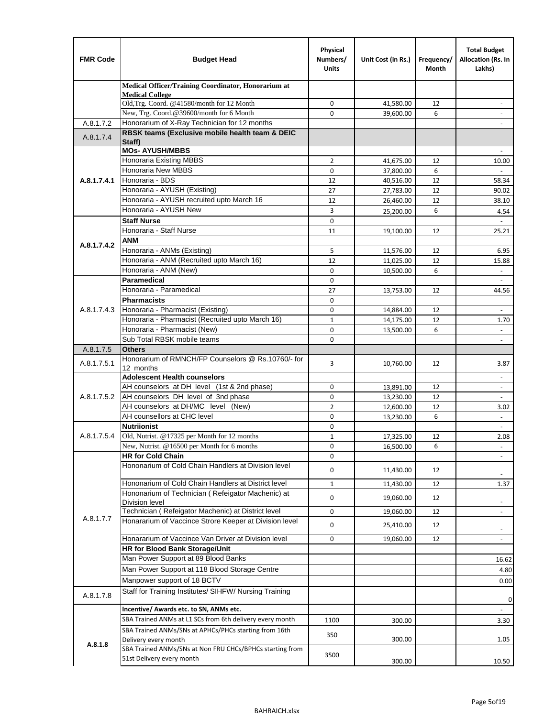| <b>FMR Code</b> | <b>Budget Head</b>                                                                    | Physical<br>Numbers/<br><b>Units</b> | Unit Cost (in Rs.)     | Frequency/<br><b>Month</b> | <b>Total Budget</b><br>Allocation (Rs. In<br>Lakhs) |
|-----------------|---------------------------------------------------------------------------------------|--------------------------------------|------------------------|----------------------------|-----------------------------------------------------|
|                 | Medical Officer/Training Coordinator, Honorarium at                                   |                                      |                        |                            |                                                     |
|                 | <b>Medical College</b><br>Old, Trg. Coord. @41580/month for 12 Month                  | 0                                    | 41,580.00              | 12                         |                                                     |
|                 | New, Trg. Coord.@39600/month for 6 Month                                              | 0                                    | 39,600.00              | 6                          |                                                     |
| A.8.1.7.2       | Honorarium of X-Ray Technician for 12 months                                          |                                      |                        |                            |                                                     |
| A.8.1.7.4       | RBSK teams (Exclusive mobile health team & DEIC                                       |                                      |                        |                            |                                                     |
|                 | Staff)<br><b>MOs- AYUSH/MBBS</b>                                                      |                                      |                        |                            |                                                     |
|                 | Honoraria Existing MBBS                                                               | $\overline{2}$                       | 41,675.00              | 12                         | 10.00                                               |
|                 | Honoraria New MBBS                                                                    | 0                                    | 37,800.00              | 6                          | $\blacksquare$                                      |
| A.8.1.7.4.1     | Honoraria - BDS                                                                       | 12                                   | 40,516.00              | 12                         | 58.34                                               |
|                 | Honoraria - AYUSH (Existing)                                                          | 27                                   | 27,783.00              | 12                         | 90.02                                               |
|                 | Honoraria - AYUSH recruited upto March 16                                             | 12                                   | 26,460.00              | 12                         | 38.10                                               |
|                 | Honoraria - AYUSH New                                                                 | 3                                    | 25,200.00              | 6                          | 4.54                                                |
|                 | <b>Staff Nurse</b>                                                                    | 0                                    |                        |                            | $\mathcal{L}$                                       |
|                 | Honoraria - Staff Nurse                                                               | 11                                   | 19,100.00              | 12                         | 25.21                                               |
| A.8.1.7.4.2     | <b>ANM</b>                                                                            |                                      |                        |                            |                                                     |
|                 | Honoraria - ANMs (Existing)                                                           | 5                                    | 11,576.00              | 12                         | 6.95                                                |
|                 | Honoraria - ANM (Recruited upto March 16)                                             | 12                                   | 11,025.00              | 12                         | 15.88                                               |
|                 | Honoraria - ANM (New)                                                                 | 0                                    | 10,500.00              | 6                          |                                                     |
|                 | <b>Paramedical</b>                                                                    | $\mathbf 0$                          |                        |                            | $\overline{\phantom{a}}$                            |
|                 | Honoraria - Paramedical<br><b>Pharmacists</b>                                         | 27                                   | 13,753.00              | 12                         | 44.56                                               |
| A.8.1.7.4.3     | Honoraria - Pharmacist (Existing)                                                     | 0<br>0                               |                        | 12                         |                                                     |
|                 | Honoraria - Pharmacist (Recruited upto March 16)                                      | $\mathbf{1}$                         | 14,884.00<br>14,175.00 | 12                         | $\blacksquare$<br>1.70                              |
|                 | Honoraria - Pharmacist (New)                                                          | 0                                    | 13,500.00              | 6                          | $\blacksquare$                                      |
|                 | Sub Total RBSK mobile teams                                                           | 0                                    |                        |                            | $\overline{\phantom{a}}$                            |
| A.8.1.7.5       | <b>Others</b>                                                                         |                                      |                        |                            |                                                     |
| A.8.1.7.5.1     | Honorarium of RMNCH/FP Counselors @ Rs.10760/- for<br>12 months                       | 3                                    | 10,760.00              | 12                         | 3.87                                                |
|                 | <b>Adolescent Health counselors</b>                                                   |                                      |                        |                            | $\blacksquare$                                      |
|                 | AH counselors at DH level (1st & 2nd phase)                                           | 0                                    | 13,891.00              | 12                         | $\blacksquare$                                      |
| A.8.1.7.5.2     | AH counselors DH level of 3nd phase                                                   | 0                                    | 13,230.00              | 12                         | $\blacksquare$                                      |
|                 | AH counselors at DH/MC level (New)                                                    | $\overline{2}$                       | 12,600.00              | 12                         | 3.02                                                |
|                 | AH counsellors at CHC level                                                           | 0                                    | 13,230.00              | 6                          | $\omega$                                            |
|                 | <b>Nutriionist</b>                                                                    | 0                                    |                        |                            | $\blacksquare$                                      |
| A.8.1.7.5.4     | Old, Nutrist. @17325 per Month for 12 months                                          | $\mathbf{1}$                         | 17,325.00              | 12                         | 2.08                                                |
|                 | New, Nutrist. @16500 per Month for 6 months                                           | 0                                    | 16,500.00              | 6                          |                                                     |
|                 | <b>HR for Cold Chain</b>                                                              | 0                                    |                        |                            |                                                     |
|                 | Hononarium of Cold Chain Handlers at Division level                                   | 0                                    | 11,430.00              | 12                         |                                                     |
|                 | Hononarium of Cold Chain Handlers at District level                                   | $\mathbf 1$                          | 11,430.00              | 12                         | 1.37                                                |
|                 | Hononarium of Technician (Refeigator Machenic) at                                     | 0                                    | 19,060.00              | 12                         |                                                     |
|                 | <b>Division level</b><br>Technician (Refeigator Machenic) at District level           | 0                                    | 19,060.00              | 12                         | $\overline{\phantom{a}}$                            |
| A.8.1.7.7       | Honararium of Vaccince Strore Keeper at Division level                                |                                      |                        |                            |                                                     |
|                 |                                                                                       | 0                                    | 25,410.00              | 12                         | $\overline{\phantom{a}}$                            |
|                 | Honararium of Vaccince Van Driver at Division level<br>HR for Blood Bank Storage/Unit | 0                                    | 19,060.00              | 12                         | $\blacksquare$                                      |
|                 | Man Power Support at 89 Blood Banks                                                   |                                      |                        |                            | 16.62                                               |
|                 | Man Power Support at 118 Blood Storage Centre                                         |                                      |                        |                            |                                                     |
|                 | Manpower support of 18 BCTV                                                           |                                      |                        |                            | 4.80                                                |
|                 | Staff for Training Institutes/ SIHFW/ Nursing Training                                |                                      |                        |                            | 0.00                                                |
| A.8.1.7.8       | Incentive/ Awards etc. to SN, ANMs etc.                                               |                                      |                        |                            | 0                                                   |
|                 | SBA Trained ANMs at L1 SCs from 6th delivery every month                              | 1100                                 |                        |                            |                                                     |
|                 | SBA Trained ANMs/SNs at APHCs/PHCs starting from 16th                                 |                                      | 300.00                 |                            | 3.30                                                |
| A.8.1.8         | Delivery every month                                                                  | 350                                  | 300.00                 |                            | 1.05                                                |
|                 | SBA Trained ANMs/SNs at Non FRU CHCs/BPHCs starting from<br>51st Delivery every month | 3500                                 | 300.00                 |                            | 10.50                                               |
|                 |                                                                                       |                                      |                        |                            |                                                     |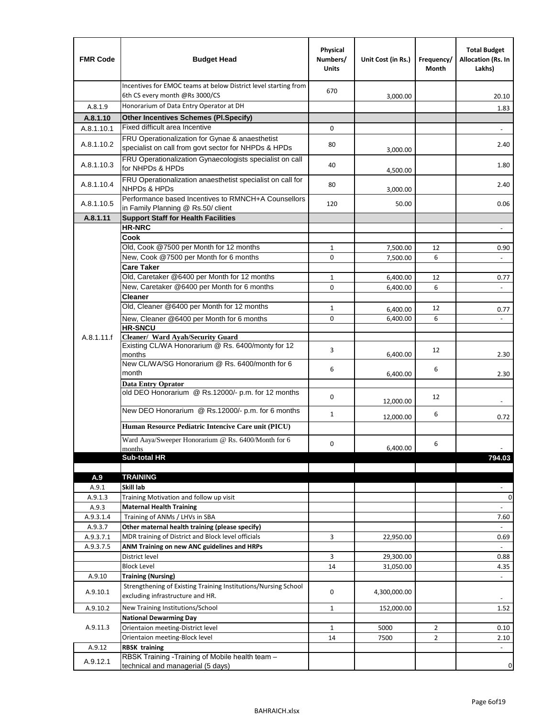| <b>FMR Code</b>    | <b>Budget Head</b>                                                                                      | Physical<br>Numbers/<br><b>Units</b> | Unit Cost (in Rs.) | Frequency/<br>Month | <b>Total Budget</b><br>Allocation (Rs. In<br>Lakhs) |
|--------------------|---------------------------------------------------------------------------------------------------------|--------------------------------------|--------------------|---------------------|-----------------------------------------------------|
|                    | Incentives for EMOC teams at below District level starting from<br>6th CS every month @Rs 3000/CS       | 670                                  | 3,000.00           |                     | 20.10                                               |
| A.8.1.9            | Honorarium of Data Entry Operator at DH                                                                 |                                      |                    |                     | 1.83                                                |
| A.8.1.10           | <b>Other Incentives Schemes (PI.Specify)</b>                                                            |                                      |                    |                     |                                                     |
| A.8.1.10.1         | Fixed difficult area Incentive                                                                          | $\mathbf 0$                          |                    |                     |                                                     |
| A.8.1.10.2         | FRU Operationalization for Gynae & anaesthetist<br>specialist on call from govt sector for NHPDs & HPDs | 80                                   | 3,000.00           |                     | 2.40                                                |
| A.8.1.10.3         | FRU Operationalization Gynaecologists specialist on call<br>for NHPDs & HPDs                            | 40                                   | 4,500.00           |                     | 1.80                                                |
| A.8.1.10.4         | FRU Operationalization anaesthetist specialist on call for<br><b>NHPDs &amp; HPDs</b>                   | 80                                   | 3,000.00           |                     | 2.40                                                |
| A.8.1.10.5         | Performance based Incentives to RMNCH+A Counsellors<br>in Family Planning @ Rs.50/ client               | 120                                  | 50.00              |                     | 0.06                                                |
| A.8.1.11           | <b>Support Staff for Health Facilities</b>                                                              |                                      |                    |                     |                                                     |
|                    | <b>HR-NRC</b>                                                                                           |                                      |                    |                     | $\overline{\phantom{m}}$                            |
|                    | Cook                                                                                                    |                                      |                    |                     |                                                     |
|                    | Old, Cook @7500 per Month for 12 months                                                                 | $\mathbf{1}$                         | 7,500.00           | 12                  | 0.90                                                |
|                    | New, Cook @7500 per Month for 6 months                                                                  | 0                                    | 7,500.00           | 6                   | $\Box$                                              |
|                    | <b>Care Taker</b><br>Old, Caretaker @6400 per Month for 12 months                                       | $\mathbf{1}$                         | 6,400.00           | 12                  |                                                     |
|                    | New, Caretaker @6400 per Month for 6 months                                                             | 0                                    | 6,400.00           | 6                   | 0.77<br>÷,                                          |
|                    | <b>Cleaner</b>                                                                                          |                                      |                    |                     |                                                     |
|                    | Old, Cleaner @6400 per Month for 12 months                                                              | $\mathbf{1}$                         | 6,400.00           | 12                  | 0.77                                                |
|                    | New, Cleaner @6400 per Month for 6 months                                                               | $\mathbf 0$                          | 6,400.00           | 6                   |                                                     |
|                    | <b>HR-SNCU</b>                                                                                          |                                      |                    |                     |                                                     |
| A.8.1.11.f         | Cleaner/ Ward Ayah/Security Guard                                                                       |                                      |                    |                     |                                                     |
|                    | Existing CL/WA Honorarium @ Rs. 6400/monty for 12<br>months                                             | 3                                    | 6,400.00           | 12                  | 2.30                                                |
|                    | New CL/WA/SG Honorarium @ Rs. 6400/month for 6<br>month                                                 | 6                                    | 6,400.00           | 6                   | 2.30                                                |
|                    | <b>Data Entry Oprator</b><br>old DEO Honorarium @ Rs.12000/- p.m. for 12 months                         |                                      |                    |                     |                                                     |
|                    | New DEO Honorarium @ Rs.12000/- p.m. for 6 months                                                       | $\mathbf 0$                          | 12,000.00          | 12                  |                                                     |
|                    |                                                                                                         | $\mathbf{1}$                         | 12,000.00          | 6                   | 0.72                                                |
|                    | Human Resource Pediatric Intencive Care unit (PICU)                                                     |                                      |                    |                     |                                                     |
|                    | Ward Aaya/Sweeper Honorarium @ Rs. 6400/Month for 6                                                     | 0                                    |                    |                     |                                                     |
|                    | months                                                                                                  |                                      | 6,400.00           | 6                   |                                                     |
|                    | Sub-total HR                                                                                            |                                      |                    |                     | 794.03                                              |
|                    |                                                                                                         |                                      |                    |                     |                                                     |
| A.9<br>A.9.1       | <b>TRAINING</b><br>Skill lab                                                                            |                                      |                    |                     |                                                     |
| A.9.1.3            | Training Motivation and follow up visit                                                                 |                                      |                    |                     | 0                                                   |
| A.9.3              | <b>Maternal Health Training</b>                                                                         |                                      |                    |                     |                                                     |
| A.9.3.1.4          | Training of ANMs / LHVs in SBA                                                                          |                                      |                    |                     | 7.60                                                |
| A.9.3.7            | Other maternal health training (please specify)                                                         |                                      |                    |                     |                                                     |
| A.9.3.7.1          | MDR training of District and Block level officials                                                      | 3                                    | 22,950.00          |                     | 0.69                                                |
| A.9.3.7.5          | ANM Training on new ANC guidelines and HRPs                                                             |                                      |                    |                     |                                                     |
|                    | District level                                                                                          | 3                                    | 29,300.00          |                     | 0.88                                                |
|                    | <b>Block Level</b>                                                                                      | 14                                   | 31,050.00          |                     | 4.35                                                |
| A.9.10             | <b>Training (Nursing)</b><br>Strengthening of Existing Training Institutions/Nursing School             |                                      |                    |                     | $\blacksquare$                                      |
| A.9.10.1           | excluding infrastructure and HR.                                                                        | 0                                    | 4,300,000.00       |                     |                                                     |
| A.9.10.2           | New Training Institutions/School                                                                        | $\mathbf{1}$                         | 152,000.00         |                     | 1.52                                                |
|                    | <b>National Dewarming Day</b>                                                                           |                                      |                    |                     |                                                     |
| A.9.11.3           | Orientaion meeting-District level                                                                       | 1                                    | 5000               | $\overline{2}$      | 0.10                                                |
|                    | Orientaion meeting-Block level                                                                          | 14                                   | 7500               | $\overline{2}$      | 2.10                                                |
| A.9.12<br>A.9.12.1 | <b>RBSK training</b><br>RBSK Training -Training of Mobile health team -                                 |                                      |                    |                     |                                                     |
|                    | technical and managerial (5 days)                                                                       |                                      |                    |                     | 0                                                   |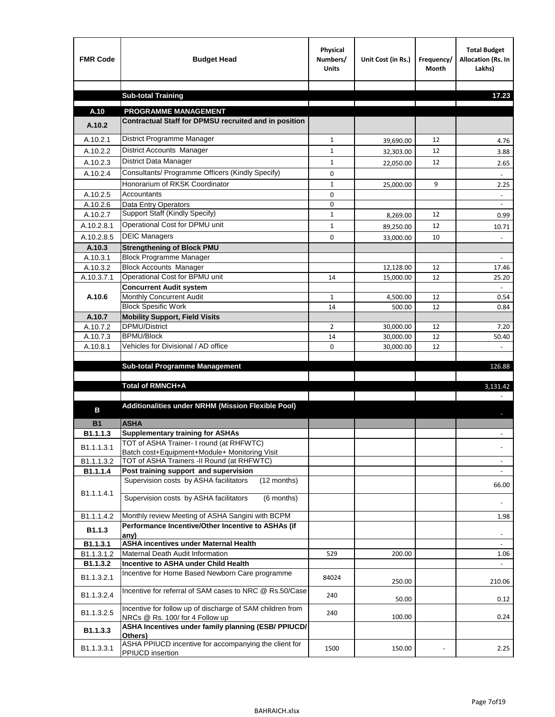| <b>FMR Code</b>       | <b>Budget Head</b>                                                                           | Physical<br>Numbers/<br><b>Units</b> | Unit Cost (in Rs.) | Frequency/<br><b>Month</b> | <b>Total Budget</b><br>Allocation (Rs. In<br>Lakhs) |
|-----------------------|----------------------------------------------------------------------------------------------|--------------------------------------|--------------------|----------------------------|-----------------------------------------------------|
|                       | <b>Sub-total Training</b>                                                                    |                                      |                    |                            | 17.23                                               |
|                       |                                                                                              |                                      |                    |                            |                                                     |
| A.10                  | <b>PROGRAMME MANAGEMENT</b>                                                                  |                                      |                    |                            |                                                     |
| A.10.2                | Contractual Staff for DPMSU recruited and in position                                        |                                      |                    |                            |                                                     |
| A.10.2.1              | District Programme Manager                                                                   | $\mathbf{1}$                         | 39,690.00          | 12                         | 4.76                                                |
| A.10.2.2              | District Accounts Manager                                                                    | 1                                    | 32,303.00          | 12                         | 3.88                                                |
| A.10.2.3              | District Data Manager                                                                        | $\mathbf{1}$                         | 22,050.00          | 12                         | 2.65                                                |
| A.10.2.4              | Consultants/ Programme Officers (Kindly Specify)                                             | $\mathbf 0$                          |                    |                            |                                                     |
|                       | Honorarium of RKSK Coordinator                                                               | $\mathbf{1}$                         | 25,000.00          | 9                          | 2.25                                                |
| A.10.2.5              | Accountants                                                                                  | 0                                    |                    |                            |                                                     |
| A.10.2.6              | Data Entry Operators                                                                         | 0                                    |                    |                            | $\sim$                                              |
| A.10.2.7              | Support Staff (Kindly Specify)                                                               | $\mathbf{1}$                         | 8,269.00           | 12                         | 0.99                                                |
| A.10.2.8.1            | Operational Cost for DPMU unit                                                               | $\mathbf{1}$                         | 89,250.00          | 12                         | 10.71                                               |
| A.10.2.8.5            | <b>DEIC Managers</b>                                                                         | $\mathbf 0$                          | 33,000.00          | 10                         |                                                     |
| A.10.3                | <b>Strengthening of Block PMU</b>                                                            |                                      |                    |                            |                                                     |
| A.10.3.1              | <b>Block Programme Manager</b>                                                               |                                      |                    |                            |                                                     |
| A.10.3.2              | <b>Block Accounts Manager</b>                                                                |                                      | 12,128.00          | 12                         | 17.46                                               |
| A.10.3.7.1            | Operational Cost for BPMU unit<br><b>Concurrent Audit system</b>                             | 14                                   | 15,000.00          | 12                         | 25.20                                               |
| A.10.6                | Monthly Concurrent Audit                                                                     | $\mathbf{1}$                         | 4,500.00           | 12                         | 0.54                                                |
|                       | <b>Block Spesific Work</b>                                                                   | 14                                   | 500.00             | 12                         | 0.84                                                |
| A.10.7                | <b>Mobility Support, Field Visits</b>                                                        |                                      |                    |                            |                                                     |
| A.10.7.2              | DPMU/District                                                                                | $\overline{2}$                       | 30,000.00          | 12                         | 7.20                                                |
| A.10.7.3              | <b>BPMU/Block</b>                                                                            | 14                                   | 30,000.00          | 12                         | 50.40                                               |
| A.10.8.1              | Vehicles for Divisional / AD office                                                          | 0                                    | 30,000.00          | 12                         |                                                     |
|                       |                                                                                              |                                      |                    |                            |                                                     |
|                       | <b>Sub-total Programme Management</b>                                                        |                                      |                    |                            | 126.88                                              |
|                       | Total of RMNCH+A                                                                             |                                      |                    |                            | 3,131.42                                            |
|                       |                                                                                              |                                      |                    |                            |                                                     |
| в                     | Additionalities under NRHM (Mission Flexible Pool)                                           |                                      |                    |                            |                                                     |
|                       |                                                                                              |                                      |                    |                            |                                                     |
| <b>B1</b><br>B1.1.1.3 | <b>ASHA</b><br><b>Supplementary training for ASHAs</b>                                       |                                      |                    |                            |                                                     |
|                       | TOT of ASHA Trainer- I round (at RHFWTC)                                                     |                                      |                    |                            |                                                     |
| B1.1.1.3.1            | Batch cost+Equipment+Module+ Monitoring Visit                                                |                                      |                    |                            |                                                     |
| B1.1.1.3.2            | TOT of ASHA Trainers -II Round (at RHFWTC)                                                   |                                      |                    |                            |                                                     |
| B1.1.1.4              | Post training support and supervision                                                        |                                      |                    |                            | $\sim$                                              |
|                       | Supervision costs by ASHA facilitators<br>(12 months)                                        |                                      |                    |                            | 66.00                                               |
| B1.1.1.4.1            | Supervision costs by ASHA facilitators<br>(6 months)                                         |                                      |                    |                            |                                                     |
|                       |                                                                                              |                                      |                    |                            |                                                     |
| B1.1.1.4.2            | Monthly review Meeting of ASHA Sangini with BCPM                                             |                                      |                    |                            | 1.98                                                |
| B <sub>1.1.3</sub>    | Performance Incentive/Other Incentive to ASHAs (if                                           |                                      |                    |                            |                                                     |
| B1.1.3.1              | any)<br><b>ASHA incentives under Maternal Health</b>                                         |                                      |                    |                            |                                                     |
| B1.1.3.1.2            | Maternal Death Audit Information                                                             | 529                                  | 200.00             |                            | 1.06                                                |
| B1.1.3.2              | Incentive to ASHA under Child Health                                                         |                                      |                    |                            | $\omega$                                            |
| B1.1.3.2.1            | Incentive for Home Based Newborn Care programme                                              | 84024                                | 250.00             |                            | 210.06                                              |
| B1.1.3.2.4            | Incentive for referral of SAM cases to NRC @ Rs.50/Case                                      | 240                                  | 50.00              |                            | 0.12                                                |
| B1.1.3.2.5            | Incentive for follow up of discharge of SAM children from<br>NRCs @ Rs. 100/ for 4 Follow up | 240                                  | 100.00             |                            | 0.24                                                |
| B1.1.3.3              | ASHA Incentives under family planning (ESB/ PPIUCD/<br>Others)                               |                                      |                    |                            |                                                     |
| B1.1.3.3.1            | ASHA PPIUCD incentive for accompanying the client for<br>PPIUCD insertion                    | 1500                                 | 150.00             |                            | 2.25                                                |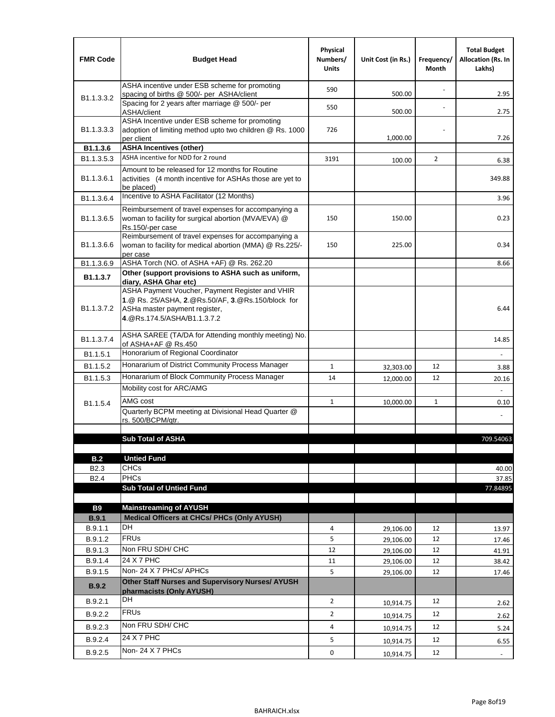| <b>FMR Code</b>            | <b>Budget Head</b>                                                                                                                                                                             | Physical<br>Numbers/<br><b>Units</b> | Unit Cost (in Rs.) | Frequency/<br>Month | <b>Total Budget</b><br><b>Allocation (Rs. In</b><br>Lakhs) |
|----------------------------|------------------------------------------------------------------------------------------------------------------------------------------------------------------------------------------------|--------------------------------------|--------------------|---------------------|------------------------------------------------------------|
|                            | ASHA incentive under ESB scheme for promoting<br>spacing of births @ 500/- per ASHA/client                                                                                                     | 590                                  | 500.00             |                     | 2.95                                                       |
| B <sub>1.1</sub> , 3, 3, 2 | Spacing for 2 years after marriage @ 500/- per<br>ASHA/client                                                                                                                                  | 550                                  | 500.00             |                     | 2.75                                                       |
| B1.1.3.3.3                 | ASHA Incentive under ESB scheme for promoting<br>adoption of limiting method upto two children @ Rs. 1000<br>per client                                                                        | 726                                  | 1,000.00           |                     | 7.26                                                       |
| B1.1.3.6                   | <b>ASHA Incentives (other)</b>                                                                                                                                                                 |                                      |                    |                     |                                                            |
| B <sub>1.1</sub> , 3, 5, 3 | ASHA incentive for NDD for 2 round                                                                                                                                                             | 3191                                 | 100.00             | $\overline{2}$      | 6.38                                                       |
| B <sub>1.1</sub> .3.6.1    | Amount to be released for 12 months for Routine<br>activities (4 month incentive for ASHAs those are yet to<br>be placed)                                                                      |                                      |                    |                     | 349.88                                                     |
| B <sub>1.1</sub> .3.6.4    | Incentive to ASHA Facilitator (12 Months)                                                                                                                                                      |                                      |                    |                     | 3.96                                                       |
| B <sub>1.1</sub> .3.6.5    | Reimbursement of travel expenses for accompanying a<br>woman to facility for surgical abortion (MVA/EVA) @<br>Rs.150/-per case                                                                 | 150                                  | 150.00             |                     | 0.23                                                       |
| B <sub>1.1</sub> .3.6.6    | Reimbursement of travel expenses for accompanying a<br>woman to facility for medical abortion (MMA) @ Rs.225/-<br>per case                                                                     | 150                                  | 225.00             |                     | 0.34                                                       |
| B1.1.3.6.9                 | ASHA Torch (NO. of ASHA +AF) @ Rs. 262.20                                                                                                                                                      |                                      |                    |                     | 8.66                                                       |
| B1.1.3.7                   | Other (support provisions to ASHA such as uniform,                                                                                                                                             |                                      |                    |                     |                                                            |
| B <sub>1.1</sub> .3.7.2    | diary, ASHA Ghar etc)<br>ASHA Payment Voucher, Payment Register and VHIR<br>1.@ Rs. 25/ASHA, 2.@Rs.50/AF, 3.@Rs.150/block for<br>ASHa master payment register,<br>4. @Rs.174.5/ASHA/B1.1.3.7.2 |                                      |                    |                     | 6.44                                                       |
| B <sub>1.1</sub> , 3, 7, 4 | ASHA SAREE (TA/DA for Attending monthly meeting) No.<br>of ASHA+AF @ Rs.450                                                                                                                    |                                      |                    |                     | 14.85                                                      |
| B <sub>1.1</sub> .5.1      | Honorarium of Regional Coordinator                                                                                                                                                             |                                      |                    |                     |                                                            |
| B1.1.5.2                   | Honararium of District Community Process Manager                                                                                                                                               | $\mathbf{1}$                         | 32,303.00          | 12                  | 3.88                                                       |
| B1.1.5.3                   | Honararium of Block Community Process Manager                                                                                                                                                  | 14                                   | 12,000.00          | 12                  | 20.16                                                      |
|                            | Mobility cost for ARC/AMG                                                                                                                                                                      |                                      |                    |                     |                                                            |
| B <sub>1.1.5.4</sub>       | AMG cost                                                                                                                                                                                       | $\mathbf{1}$                         | 10,000.00          | $\mathbf{1}$        | 0.10                                                       |
|                            | Quarterly BCPM meeting at Divisional Head Quarter @                                                                                                                                            |                                      |                    |                     |                                                            |
|                            | rs. 500/BCPM/qtr.                                                                                                                                                                              |                                      |                    |                     |                                                            |
|                            |                                                                                                                                                                                                |                                      |                    |                     |                                                            |
|                            | <b>Sub Total of ASHA</b>                                                                                                                                                                       |                                      |                    |                     | 709.54063                                                  |
| B.2                        | <b>Untied Fund</b>                                                                                                                                                                             |                                      |                    |                     |                                                            |
| B <sub>2.3</sub>           | <b>CHCs</b>                                                                                                                                                                                    |                                      |                    |                     | 40.00                                                      |
| B <sub>2.4</sub>           | PHCs                                                                                                                                                                                           |                                      |                    |                     | 37.85                                                      |
|                            | <b>Sub Total of Untied Fund</b>                                                                                                                                                                |                                      |                    |                     | 77.84895                                                   |
|                            |                                                                                                                                                                                                |                                      |                    |                     |                                                            |
| <b>B9</b><br>B.9.1         | <b>Mainstreaming of AYUSH</b><br>Medical Officers at CHCs/ PHCs (Only AYUSH)                                                                                                                   |                                      |                    |                     |                                                            |
| B.9.1.1                    | <b>DH</b>                                                                                                                                                                                      | 4                                    | 29,106.00          | 12                  | 13.97                                                      |
| B.9.1.2                    | <b>FRUs</b>                                                                                                                                                                                    | 5                                    | 29,106.00          | 12                  | 17.46                                                      |
| B.9.1.3                    | Non FRU SDH/ CHC                                                                                                                                                                               | 12                                   | 29,106.00          | 12                  | 41.91                                                      |
| B.9.1.4                    | 24 X 7 PHC                                                                                                                                                                                     | 11                                   | 29,106.00          | 12                  | 38.42                                                      |
| B.9.1.5                    | Non-24 X 7 PHCs/ APHCs                                                                                                                                                                         | 5                                    | 29,106.00          | 12                  | 17.46                                                      |
| B.9.2                      | Other Staff Nurses and Supervisory Nurses/ AYUSH<br>pharmacists (Only AYUSH)                                                                                                                   |                                      |                    |                     |                                                            |
| B.9.2.1                    | DH                                                                                                                                                                                             | $\overline{2}$                       | 10,914.75          | 12                  | 2.62                                                       |
| B.9.2.2                    | <b>FRUs</b>                                                                                                                                                                                    | $\overline{2}$                       | 10,914.75          | 12                  | 2.62                                                       |
| B.9.2.3                    | Non FRU SDH/ CHC                                                                                                                                                                               | 4                                    |                    | 12                  |                                                            |
|                            | 24 X 7 PHC                                                                                                                                                                                     |                                      | 10,914.75          |                     | 5.24                                                       |
| B.9.2.4                    | Non-24 X 7 PHCs                                                                                                                                                                                | 5                                    | 10,914.75          | 12                  | 6.55                                                       |
| B.9.2.5                    |                                                                                                                                                                                                | 0                                    | 10,914.75          | 12                  | $\overline{\phantom{a}}$                                   |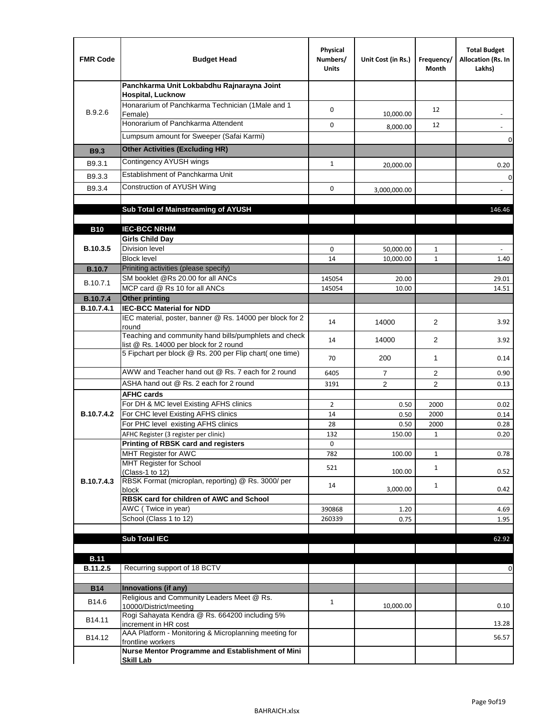| <b>FMR Code</b> | <b>Budget Head</b>                                                                              | Physical<br>Numbers/<br><b>Units</b> | Unit Cost (in Rs.) | Frequency/<br>Month | <b>Total Budget</b><br>Allocation (Rs. In<br>Lakhs) |
|-----------------|-------------------------------------------------------------------------------------------------|--------------------------------------|--------------------|---------------------|-----------------------------------------------------|
|                 | Panchkarma Unit Lokbabdhu Rajnarayna Joint<br><b>Hospital, Lucknow</b>                          |                                      |                    |                     |                                                     |
| B.9.2.6         | Honararium of Panchkarma Technician (1Male and 1<br>Female)                                     | $\mathbf 0$                          | 10,000.00          | 12                  |                                                     |
|                 | Honorarium of Panchkarma Attendent                                                              | 0                                    | 8,000.00           | 12                  |                                                     |
|                 | Lumpsum amount for Sweeper (Safai Karmi)                                                        |                                      |                    |                     | 0                                                   |
| <b>B9.3</b>     | <b>Other Activities (Excluding HR)</b>                                                          |                                      |                    |                     |                                                     |
| B9.3.1          | Contingency AYUSH wings                                                                         | $\mathbf{1}$                         | 20,000.00          |                     | 0.20                                                |
| B9.3.3          | Establishment of Panchkarma Unit                                                                |                                      |                    |                     | $\mathbf 0$                                         |
| B9.3.4          | Construction of AYUSH Wing                                                                      | 0                                    | 3,000,000.00       |                     |                                                     |
|                 |                                                                                                 |                                      |                    |                     |                                                     |
|                 | Sub Total of Mainstreaming of AYUSH                                                             |                                      |                    |                     | 146.46                                              |
|                 | <b>IEC-BCC NRHM</b>                                                                             |                                      |                    |                     |                                                     |
| <b>B10</b>      | <b>Girls Child Day</b>                                                                          |                                      |                    |                     |                                                     |
| B.10.3.5        | <b>Division level</b>                                                                           | 0                                    | 50,000.00          | $\mathbf{1}$        |                                                     |
|                 | <b>Block level</b>                                                                              | 14                                   | 10,000.00          | $\mathbf{1}$        | 1.40                                                |
| <b>B.10.7</b>   | Priniting activities (please specify)                                                           |                                      |                    |                     |                                                     |
| B.10.7.1        | SM booklet @Rs 20.00 for all ANCs<br>MCP card @ Rs 10 for all ANCs                              | 145054                               | 20.00              |                     | 29.01                                               |
| <b>B.10.7.4</b> | <b>Other printing</b>                                                                           | 145054                               | 10.00              |                     | 14.51                                               |
| B.10.7.4.1      | <b>IEC-BCC Material for NDD</b>                                                                 |                                      |                    |                     |                                                     |
|                 | IEC material, poster, banner @ Rs. 14000 per block for 2<br>round                               | 14                                   | 14000              | $\overline{2}$      | 3.92                                                |
|                 | Teaching and community hand bills/pumphlets and check<br>list @ Rs. 14000 per block for 2 round | 14                                   | 14000              | 2                   | 3.92                                                |
|                 | 5 Fipchart per block @ Rs. 200 per Flip chart( one time)                                        | 70                                   | 200                | $\mathbf{1}$        | 0.14                                                |
|                 | AWW and Teacher hand out @ Rs. 7 each for 2 round                                               | 6405                                 | $\overline{7}$     | 2                   | 0.90                                                |
|                 | ASHA hand out @ Rs. 2 each for 2 round                                                          | 3191                                 | 2                  | $\overline{2}$      | 0.13                                                |
|                 | <b>AFHC cards</b><br>For DH & MC level Existing AFHS clinics                                    |                                      |                    |                     |                                                     |
| B.10.7.4.2      | For CHC level Existing AFHS clinics                                                             | $\overline{2}$<br>14                 | 0.50<br>0.50       | 2000<br>2000        | 0.02<br>0.14                                        |
|                 | For PHC level existing AFHS clinics                                                             | 28                                   | 0.50               | 2000                | 0.28                                                |
|                 | AFHC Register (3 register per clinic)                                                           | 132                                  | 150.00             | $\mathbf{1}$        | 0.20                                                |
|                 | <b>Printing of RBSK card and registers</b>                                                      | 0                                    |                    |                     |                                                     |
|                 | MHT Register for AWC<br>MHT Register for School                                                 | 782                                  | 100.00             | $\mathbf{1}$        | 0.78                                                |
|                 | (Class-1 to 12)                                                                                 | 521                                  | 100.00             | $\mathbf{1}$        | 0.52                                                |
| B.10.7.4.3      | RBSK Format (microplan, reporting) @ Rs. 3000/ per                                              | 14                                   |                    | $\mathbf{1}$        |                                                     |
|                 | block<br>RBSK card for children of AWC and School                                               |                                      | 3,000.00           |                     | 0.42                                                |
|                 | AWC (Twice in year)                                                                             | 390868                               | 1.20               |                     | 4.69                                                |
|                 | School (Class 1 to 12)                                                                          | 260339                               | 0.75               |                     | 1.95                                                |
|                 |                                                                                                 |                                      |                    |                     |                                                     |
|                 | <b>Sub Total IEC</b>                                                                            |                                      |                    |                     | 62.92                                               |
| <b>B.11</b>     |                                                                                                 |                                      |                    |                     |                                                     |
| B.11.2.5        | Recurring support of 18 BCTV                                                                    |                                      |                    |                     | 0                                                   |
|                 |                                                                                                 |                                      |                    |                     |                                                     |
| <b>B14</b>      | Innovations (if any)                                                                            |                                      |                    |                     |                                                     |
| B14.6           | Religious and Community Leaders Meet @ Rs.<br>10000/District/meeting                            | $\mathbf{1}$                         | 10,000.00          |                     | 0.10                                                |
| B14.11          | Rogi Sahayata Kendra @ Rs. 664200 including 5%<br>increment in HR cost                          |                                      |                    |                     | 13.28                                               |
| B14.12          | AAA Platform - Monitoring & Microplanning meeting for<br>frontline workers                      |                                      |                    |                     | 56.57                                               |
|                 | Nurse Mentor Programme and Establishment of Mini                                                |                                      |                    |                     |                                                     |
|                 | <b>Skill Lab</b>                                                                                |                                      |                    |                     |                                                     |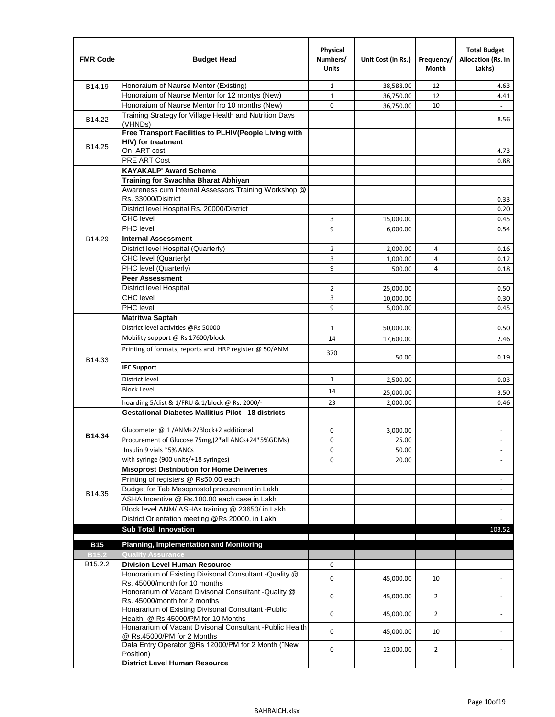| <b>FMR Code</b>     | <b>Budget Head</b>                                                                                  | Physical<br>Numbers/<br><b>Units</b> | Unit Cost (in Rs.) | Frequency/<br>Month | <b>Total Budget</b><br>Allocation (Rs. In<br>Lakhs) |
|---------------------|-----------------------------------------------------------------------------------------------------|--------------------------------------|--------------------|---------------------|-----------------------------------------------------|
| B14.19              | Honoraium of Naurse Mentor (Existing)                                                               | 1                                    | 38,588.00          | 12                  | 4.63                                                |
|                     | Honoraium of Naurse Mentor for 12 montys (New)                                                      | $\mathbf 1$                          | 36,750.00          | 12                  | 4.41                                                |
|                     | Honoraium of Naurse Mentor fro 10 months (New)                                                      | 0                                    | 36,750.00          | 10                  | $\blacksquare$                                      |
| B14.22              | Training Strategy for Village Health and Nutrition Days<br>(VHNDs)                                  |                                      |                    |                     | 8.56                                                |
|                     | Free Transport Facilities to PLHIV(People Living with                                               |                                      |                    |                     |                                                     |
| B14.25              | HIV) for treatment                                                                                  |                                      |                    |                     |                                                     |
|                     | On ART cost                                                                                         |                                      |                    |                     | 4.73                                                |
|                     | PRE ART Cost                                                                                        |                                      |                    |                     | 0.88                                                |
|                     | <b>KAYAKALP' Award Scheme</b>                                                                       |                                      |                    |                     |                                                     |
|                     | Training for Swachha Bharat Abhiyan                                                                 |                                      |                    |                     |                                                     |
|                     | Awareness cum Internal Assessors Training Workshop @                                                |                                      |                    |                     |                                                     |
|                     | Rs. 33000/Disitrict                                                                                 |                                      |                    |                     | 0.33                                                |
|                     | District level Hospital Rs. 20000/District                                                          |                                      |                    |                     | 0.20                                                |
|                     | <b>CHC</b> level                                                                                    | 3                                    | 15,000.00          |                     | 0.45                                                |
|                     | PHC level                                                                                           | 9                                    | 6,000.00           |                     | 0.54                                                |
| B14.29              | <b>Internal Assessment</b>                                                                          |                                      |                    |                     |                                                     |
|                     | District level Hospital (Quarterly)                                                                 | $\overline{2}$                       | 2,000.00           | 4                   | 0.16                                                |
|                     | CHC level (Quarterly)                                                                               | 3                                    | 1,000.00           | $\overline{4}$      | 0.12                                                |
|                     | PHC level (Quarterly)                                                                               | 9                                    | 500.00             | 4                   | 0.18                                                |
|                     | <b>Peer Assessment</b>                                                                              |                                      |                    |                     |                                                     |
|                     | <b>District level Hospital</b>                                                                      | 2                                    | 25,000.00          |                     | 0.50                                                |
|                     | <b>CHC</b> level                                                                                    | 3                                    | 10,000.00          |                     | 0.30                                                |
|                     | PHC level                                                                                           | 9                                    | 5,000.00           |                     | 0.45                                                |
|                     | <b>Matritwa Saptah</b>                                                                              |                                      |                    |                     |                                                     |
|                     | District level activities @Rs 50000                                                                 | $\mathbf{1}$                         | 50,000.00          |                     | 0.50                                                |
|                     | Mobility support @ Rs 17600/block                                                                   | 14                                   | 17,600.00          |                     | 2.46                                                |
| B14.33              | Printing of formats, reports and HRP register @ 50/ANM                                              | 370                                  | 50.00              |                     | 0.19                                                |
|                     | <b>IEC Support</b>                                                                                  |                                      |                    |                     |                                                     |
|                     | District level                                                                                      | 1                                    | 2,500.00           |                     | 0.03                                                |
|                     | <b>Block Level</b>                                                                                  | 14                                   | 25,000.00          |                     | 3.50                                                |
|                     | hoarding 5/dist & 1/FRU & 1/block @ Rs. 2000/-                                                      | 23                                   | 2,000.00           |                     | 0.46                                                |
|                     | <b>Gestational Diabetes Mallitius Pilot - 18 districts</b>                                          |                                      |                    |                     |                                                     |
|                     |                                                                                                     |                                      |                    |                     |                                                     |
| B14.34              | Glucometer @ 1 /ANM+2/Block+2 additional                                                            | 0                                    | 3,000.00           |                     |                                                     |
|                     | Procurement of Glucose 75mg, (2*all ANCs+24*5%GDMs)                                                 | 0                                    | 25.00              |                     |                                                     |
|                     | Insulin 9 vials *5% ANCs                                                                            | 0                                    | 50.00              |                     | $\blacksquare$                                      |
|                     | with syringe (900 units/+18 syringes)<br><b>Misoprost Distribution for Home Deliveries</b>          | 0                                    | 20.00              |                     |                                                     |
|                     | Printing of registers @ Rs50.00 each                                                                |                                      |                    |                     |                                                     |
|                     |                                                                                                     |                                      |                    |                     | $\overline{\phantom{a}}$                            |
| B14.35              | Budget for Tab Mesoprostol procurement in Lakh<br>ASHA Incentive @ Rs.100.00 each case in Lakh      |                                      |                    |                     | $\blacksquare$                                      |
|                     |                                                                                                     |                                      |                    |                     | $\overline{\phantom{a}}$                            |
|                     | Block level ANM/ ASHAs training @ 23650/ in Lakh<br>District Orientation meeting @Rs 20000, in Lakh |                                      |                    |                     | $\omega$                                            |
|                     | <b>Sub Total Innovation</b>                                                                         |                                      |                    |                     | 103.52                                              |
| <b>B15</b>          | <b>Planning, Implementation and Monitoring</b>                                                      |                                      |                    |                     |                                                     |
| <b>B15.2</b>        | <b>Quality Assurance</b>                                                                            |                                      |                    |                     |                                                     |
| B <sub>15.2.2</sub> | <b>Division Level Human Resource</b>                                                                | 0                                    |                    |                     |                                                     |
|                     | Honorarium of Existing Divisonal Consultant - Quality @                                             |                                      |                    |                     |                                                     |
|                     | Rs. 45000/month for 10 months                                                                       | 0                                    | 45,000.00          | 10                  |                                                     |
|                     | Honorarium of Vacant Divisonal Consultant - Quality @<br>Rs. 45000/month for 2 months               | 0                                    | 45,000.00          | $\overline{2}$      |                                                     |
|                     | Honararium of Existing Divisonal Consultant - Public                                                | 0                                    | 45,000.00          | $\overline{2}$      |                                                     |
|                     | Health @ Rs.45000/PM for 10 Months<br>Honararium of Vacant Divisonal Consultant - Public Health     | 0                                    | 45,000.00          | 10                  |                                                     |
|                     | @ Rs.45000/PM for 2 Months<br>Data Entry Operator @Rs 12000/PM for 2 Month ("New                    |                                      |                    |                     |                                                     |
|                     | Position)<br><b>District Level Human Resource</b>                                                   | 0                                    | 12,000.00          | $\overline{2}$      |                                                     |
|                     |                                                                                                     |                                      |                    |                     |                                                     |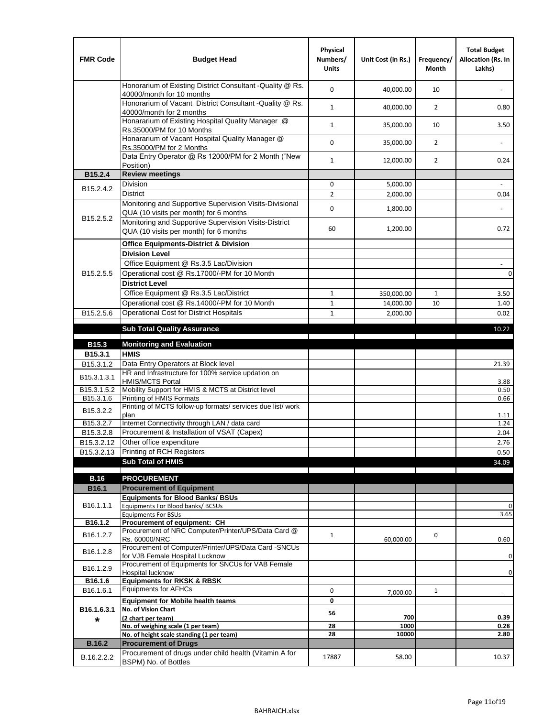| <b>FMR Code</b>         | <b>Budget Head</b>                                                                                | Physical<br>Numbers/<br><b>Units</b> | Unit Cost (in Rs.) | Frequency/<br><b>Month</b> | <b>Total Budget</b><br>Allocation (Rs. In<br>Lakhs) |
|-------------------------|---------------------------------------------------------------------------------------------------|--------------------------------------|--------------------|----------------------------|-----------------------------------------------------|
|                         | Honorarium of Existing District Consultant -Quality @ Rs.<br>40000/month for 10 months            | $\mathbf 0$                          | 40,000.00          | 10                         |                                                     |
|                         | Honorarium of Vacant District Consultant -Quality @ Rs.<br>40000/month for 2 months               | $\mathbf{1}$                         | 40,000.00          | $\overline{2}$             | 0.80                                                |
|                         | Honararium of Existing Hospital Quality Manager @<br>Rs.35000/PM for 10 Months                    | $\mathbf{1}$                         | 35,000.00          | 10                         | 3.50                                                |
|                         | Honararium of Vacant Hospital Quality Manager @<br>Rs.35000/PM for 2 Months                       | $\mathbf 0$                          | 35,000.00          | $\overline{2}$             |                                                     |
|                         | Data Entry Operator @ Rs 12000/PM for 2 Month ("New<br>Position)                                  | $\mathbf{1}$                         | 12,000.00          | $\overline{2}$             | 0.24                                                |
| B15.2.4                 | <b>Review meetings</b>                                                                            |                                      |                    |                            |                                                     |
| B <sub>15.2</sub> .4.2  | Division                                                                                          | 0                                    | 5,000.00           |                            |                                                     |
|                         | <b>District</b>                                                                                   | $\overline{2}$                       | 2,000.00           |                            | 0.04                                                |
| B15.2.5.2               | Monitoring and Supportive Supervision Visits-Divisional<br>QUA (10 visits per month) for 6 months | $\mathbf 0$                          | 1,800.00           |                            |                                                     |
|                         | Monitoring and Supportive Supervision Visits-District<br>QUA (10 visits per month) for 6 months   | 60                                   | 1,200.00           |                            | 0.72                                                |
|                         | <b>Office Equipments-District &amp; Division</b>                                                  |                                      |                    |                            |                                                     |
|                         | <b>Division Level</b>                                                                             |                                      |                    |                            |                                                     |
|                         | Office Equipment @ Rs.3.5 Lac/Division                                                            |                                      |                    |                            | $\overline{\phantom{a}}$                            |
| B15.2.5.5               | Operational cost @ Rs.17000/-PM for 10 Month                                                      |                                      |                    |                            | $\pmb{0}$                                           |
|                         | <b>District Level</b>                                                                             |                                      |                    |                            |                                                     |
|                         | Office Equipment @ Rs.3.5 Lac/District                                                            | $\mathbf{1}$                         | 350,000.00         | $\mathbf{1}$               | 3.50                                                |
|                         | Operational cost @ Rs.14000/-PM for 10 Month                                                      | $1\,$                                | 14,000.00          | 10                         | 1.40                                                |
| B15.2.5.6               | <b>Operational Cost for District Hospitals</b>                                                    | $\mathbf{1}$                         | 2,000.00           |                            | 0.02                                                |
|                         | <b>Sub Total Quality Assurance</b>                                                                |                                      |                    |                            | 10.22                                               |
| B15.3                   | <b>Monitoring and Evaluation</b>                                                                  |                                      |                    |                            |                                                     |
| B15.3.1                 | <b>HMIS</b>                                                                                       |                                      |                    |                            |                                                     |
| B15.3.1.2               | Data Entry Operators at Block level                                                               |                                      |                    |                            | 21.39                                               |
| B15.3.1.3.1             | HR and Infrastructure for 100% service updation on<br><b>HMIS/MCTS Portal</b>                     |                                      |                    |                            | 3.88                                                |
| B <sub>15.3.1.5.2</sub> | Mobility Support for HMIS & MCTS at District level                                                |                                      |                    |                            | 0.50                                                |
| B15.3.1.6               | Printing of HMIS Formats<br>Printing of MCTS follow-up formats/ services due list/ work           |                                      |                    |                            | 0.66                                                |
| B15.3.2.2               | plan                                                                                              |                                      |                    |                            | 1.11                                                |
| B15.3.2.7               | Internet Connectivity through LAN / data card                                                     |                                      |                    |                            | 1.24                                                |
| B15.3.2.8               | Procurement & Installation of VSAT (Capex)                                                        |                                      |                    |                            | 2.04                                                |
| B15.3.2.12              | Other office expenditure                                                                          |                                      |                    |                            | 2.76                                                |
| B15.3.2.13              | Printing of RCH Registers                                                                         |                                      |                    |                            | 0.50                                                |
|                         | <b>Sub Total of HMIS</b>                                                                          |                                      |                    |                            | 34.09                                               |
| <b>B.16</b>             | <b>PROCUREMENT</b>                                                                                |                                      |                    |                            |                                                     |
| B16.1                   | <b>Procurement of Equipment</b>                                                                   |                                      |                    |                            |                                                     |
|                         | <b>Equipments for Blood Banks/ BSUs</b>                                                           |                                      |                    |                            |                                                     |
| B16.1.1.1               | Equipments For Blood banks/ BCSUs<br><b>Equipments For BSUs</b>                                   |                                      |                    |                            | 0<br>3.65                                           |
| B16.1.2                 | Procurement of equipment: CH                                                                      |                                      |                    |                            |                                                     |
| B16.1.2.7               | Procurement of NRC Computer/Printer/UPS/Data Card @                                               | $\mathbf{1}$                         |                    | 0                          |                                                     |
|                         | Rs. 60000/NRC<br>Procurement of Computer/Printer/UPS/Data Card -SNCUs                             |                                      | 60,000.00          |                            | 0.60                                                |
| B16.1.2.8               | for VJB Female Hospital Lucknow                                                                   |                                      |                    |                            | 0                                                   |
| B16.1.2.9               | Procurement of Equipments for SNCUs for VAB Female                                                |                                      |                    |                            |                                                     |
|                         | Hospital lucknow                                                                                  |                                      |                    |                            | 0                                                   |
| B16.1.6<br>B16.1.6.1    | <b>Equipments for RKSK &amp; RBSK</b><br><b>Equipments for AFHCs</b>                              |                                      |                    |                            |                                                     |
|                         | <b>Equipment for Mobile health teams</b>                                                          | 0<br>0                               | 7,000.00           | $\mathbf{1}$               | ÷,                                                  |
| B16.1.6.3.1             | No. of Vision Chart                                                                               |                                      |                    |                            |                                                     |
| *                       | (2 chart per team)                                                                                | 56                                   | 700                |                            | 0.39                                                |
|                         | No. of weighing scale (1 per team)                                                                | 28                                   | 1000               |                            | 0.28                                                |
|                         | No. of height scale standing (1 per team)                                                         | 28                                   | 10000              |                            | 2.80                                                |
| <b>B.16.2</b>           | <b>Procurement of Drugs</b><br>Procurement of drugs under child health (Vitamin A for             |                                      |                    |                            |                                                     |
| B.16.2.2.2              | BSPM) No. of Bottles                                                                              | 17887                                | 58.00              |                            | 10.37                                               |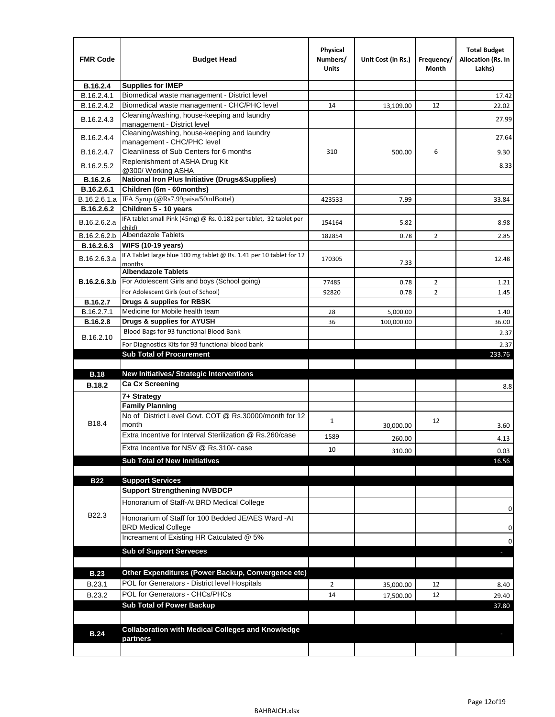| <b>FMR Code</b> | <b>Budget Head</b>                                                               | Physical<br>Numbers/<br>Units | Unit Cost (in Rs.) | Frequency/<br>Month | <b>Total Budget</b><br>Allocation (Rs. In<br>Lakhs) |
|-----------------|----------------------------------------------------------------------------------|-------------------------------|--------------------|---------------------|-----------------------------------------------------|
| B.16.2.4        | <b>Supplies for IMEP</b>                                                         |                               |                    |                     |                                                     |
| B.16.2.4.1      | Biomedical waste management - District level                                     |                               |                    |                     | 17.42                                               |
| B.16.2.4.2      | Biomedical waste management - CHC/PHC level                                      | 14                            | 13,109.00          | 12                  | 22.02                                               |
| B.16.2.4.3      | Cleaning/washing, house-keeping and laundry<br>management - District level       |                               |                    |                     | 27.99                                               |
| B.16.2.4.4      | Cleaning/washing, house-keeping and laundry<br>management - CHC/PHC level        |                               |                    |                     | 27.64                                               |
| B.16.2.4.7      | Cleanliness of Sub Centers for 6 months                                          | 310                           | 500.00             | 6                   | 9.30                                                |
| B.16.2.5.2      | Replenishment of ASHA Drug Kit<br>@300/ Working ASHA                             |                               |                    |                     | 8.33                                                |
| B.16.2.6        | <b>National Iron Plus Initiative (Drugs&amp;Supplies)</b>                        |                               |                    |                     |                                                     |
| B.16.2.6.1      | Children (6m - 60months)                                                         |                               |                    |                     |                                                     |
| B.16.2.6.1.a    | IFA Syrup (@Rs7.99paisa/50mlBottel)                                              | 423533                        | 7.99               |                     | 33.84                                               |
| B.16.2.6.2      | Children 5 - 10 years                                                            |                               |                    |                     |                                                     |
| B.16.2.6.2.a    | IFA tablet small Pink (45mg) @ Rs. 0.182 per tablet, 32 tablet per<br>child)     | 154164                        | 5.82               |                     | 8.98                                                |
| B.16.2.6.2.b    | <b>Albendazole Tablets</b>                                                       | 182854                        | 0.78               | 2                   | 2.85                                                |
| B.16.2.6.3      | <b>WIFS (10-19 years)</b>                                                        |                               |                    |                     |                                                     |
| B.16.2.6.3.a    | IFA Tablet large blue 100 mg tablet @ Rs. 1.41 per 10 tablet for 12<br>months    | 170305                        | 7.33               |                     | 12.48                                               |
|                 | <b>Albendazole Tablets</b>                                                       |                               |                    |                     |                                                     |
| B.16.2.6.3.b    | For Adolescent Girls and boys (School going)                                     | 77485                         | 0.78               | $\overline{2}$      | 1.21                                                |
|                 | For Adolescent Girls (out of School)                                             | 92820                         | 0.78               | $\overline{2}$      | 1.45                                                |
| B.16.2.7        | Drugs & supplies for RBSK                                                        |                               |                    |                     |                                                     |
| B.16.2.7.1      | Medicine for Mobile health team                                                  | 28                            | 5,000.00           |                     | 1.40                                                |
| <b>B.16.2.8</b> | Drugs & supplies for AYUSH                                                       | 36                            | 100,000.00         |                     | 36.00                                               |
| B.16.2.10       | Blood Bags for 93 functional Blood Bank                                          |                               |                    |                     | 2.37                                                |
|                 | For Diagnostics Kits for 93 functional blood bank                                |                               |                    |                     | 2.37                                                |
|                 | <b>Sub Total of Procurement</b>                                                  |                               |                    |                     | 233.76                                              |
|                 |                                                                                  |                               |                    |                     |                                                     |
| <b>B.18</b>     | <b>New Initiatives/ Strategic Interventions</b>                                  |                               |                    |                     |                                                     |
| <b>B.18.2</b>   | <b>Ca Cx Screening</b>                                                           |                               |                    |                     | 8.8                                                 |
|                 | 7+ Strategy                                                                      |                               |                    |                     |                                                     |
|                 | <b>Family Planning</b><br>No of District Level Govt. COT @ Rs.30000/month for 12 |                               |                    |                     |                                                     |
| B18.4           | month                                                                            | $\mathbf{1}$                  | 30,000.00          | 12                  | 3.60                                                |
|                 | Extra Incentive for Interval Sterilization @ Rs.260/case                         | 1589                          | 260.00             |                     | 4.13                                                |
|                 | Extra Incentive for NSV @ Rs.310/- case                                          | 10                            | 310.00             |                     | 0.03                                                |
|                 | <b>Sub Total of New Innitiatives</b>                                             |                               |                    |                     | 16.56                                               |
|                 |                                                                                  |                               |                    |                     |                                                     |
| <b>B22</b>      | <b>Support Services</b>                                                          |                               |                    |                     |                                                     |
|                 | <b>Support Strengthening NVBDCP</b>                                              |                               |                    |                     |                                                     |
|                 | Honorarium of Staff-At BRD Medical College                                       |                               |                    |                     | 0                                                   |
| B22.3           | Honorarium of Staff for 100 Bedded JE/AES Ward -At<br><b>BRD Medical College</b> |                               |                    |                     | 0                                                   |
|                 | Increament of Existing HR Catculated @ 5%                                        |                               |                    |                     | 0                                                   |
|                 | <b>Sub of Support Serveces</b>                                                   |                               |                    |                     |                                                     |
|                 |                                                                                  |                               |                    |                     |                                                     |
| <b>B.23</b>     | Other Expenditures (Power Backup, Convergence etc)                               |                               |                    |                     |                                                     |
| B.23.1          | POL for Generators - District level Hospitals                                    | $\overline{2}$                |                    | 12                  |                                                     |
| B.23.2          | POL for Generators - CHCs/PHCs                                                   | 14                            | 35,000.00          | 12                  | 8.40                                                |
|                 | <b>Sub Total of Power Backup</b>                                                 |                               | 17,500.00          |                     | 29.40<br>37.80                                      |
|                 |                                                                                  |                               |                    |                     |                                                     |
|                 | <b>Collaboration with Medical Colleges and Knowledge</b>                         |                               |                    |                     |                                                     |
| <b>B.24</b>     | partners                                                                         |                               |                    |                     |                                                     |
|                 |                                                                                  |                               |                    |                     |                                                     |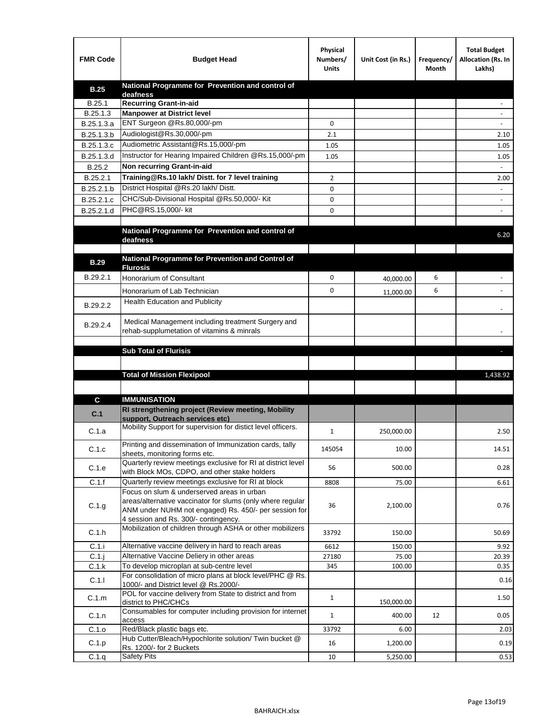| <b>FMR Code</b> | <b>Budget Head</b>                                                                                                                                                | Physical<br>Numbers/<br><b>Units</b> | Unit Cost (in Rs.) | Frequency/<br>Month | <b>Total Budget</b><br>Allocation (Rs. In<br>Lakhs) |
|-----------------|-------------------------------------------------------------------------------------------------------------------------------------------------------------------|--------------------------------------|--------------------|---------------------|-----------------------------------------------------|
| <b>B.25</b>     | National Programme for Prevention and control of                                                                                                                  |                                      |                    |                     |                                                     |
| B.25.1          | deafness<br><b>Recurring Grant-in-aid</b>                                                                                                                         |                                      |                    |                     |                                                     |
| B.25.1.3        | <b>Manpower at District level</b>                                                                                                                                 |                                      |                    |                     |                                                     |
| B.25.1.3.a      | ENT Surgeon @Rs.80,000/-pm                                                                                                                                        | 0                                    |                    |                     |                                                     |
| B.25.1.3.b      | Audiologist@Rs.30,000/-pm                                                                                                                                         | 2.1                                  |                    |                     | 2.10                                                |
| B.25.1.3.c      | Audiometric Assistant@Rs.15,000/-pm                                                                                                                               | 1.05                                 |                    |                     | 1.05                                                |
| B.25.1.3.d      | Instructor for Hearing Impaired Children @Rs.15,000/-pm                                                                                                           | 1.05                                 |                    |                     | 1.05                                                |
| B.25.2          | Non recurring Grant-in-aid                                                                                                                                        |                                      |                    |                     |                                                     |
| B.25.2.1        | Training@Rs.10 lakh/ Distt. for 7 level training                                                                                                                  | 2                                    |                    |                     | 2.00                                                |
| B.25.2.1.b      | District Hospital @Rs.20 lakh/Distt.                                                                                                                              | 0                                    |                    |                     |                                                     |
| B.25.2.1.c      | CHC/Sub-Divisional Hospital @Rs.50,000/- Kit                                                                                                                      | 0                                    |                    |                     |                                                     |
| B.25.2.1.d      | PHC@RS.15,000/- kit                                                                                                                                               | 0                                    |                    |                     |                                                     |
|                 |                                                                                                                                                                   |                                      |                    |                     |                                                     |
|                 | National Programme for Prevention and control of<br>deafness                                                                                                      |                                      |                    |                     | 6.20                                                |
|                 |                                                                                                                                                                   |                                      |                    |                     |                                                     |
| <b>B.29</b>     | National Programme for Prevention and Control of<br><b>Flurosis</b>                                                                                               |                                      |                    |                     |                                                     |
| B.29.2.1        | <b>Honorarium of Consultant</b>                                                                                                                                   | 0                                    | 40,000.00          | 6                   |                                                     |
|                 | Honorarium of Lab Technician                                                                                                                                      | 0                                    |                    | 6                   |                                                     |
|                 | Health Education and Publicity                                                                                                                                    |                                      | 11,000.00          |                     |                                                     |
| B.29.2.2        |                                                                                                                                                                   |                                      |                    |                     |                                                     |
| B.29.2.4        | Medical Management including treatment Surgery and<br>rehab-supplumetation of vitamins & minrals                                                                  |                                      |                    |                     |                                                     |
|                 | <b>Sub Total of Flurisis</b>                                                                                                                                      |                                      |                    |                     | ы                                                   |
|                 |                                                                                                                                                                   |                                      |                    |                     |                                                     |
|                 |                                                                                                                                                                   |                                      |                    |                     |                                                     |
|                 |                                                                                                                                                                   |                                      |                    |                     |                                                     |
|                 | <b>Total of Mission Flexipool</b>                                                                                                                                 |                                      |                    |                     | 1,438.92                                            |
|                 |                                                                                                                                                                   |                                      |                    |                     |                                                     |
| C               | <b>IMMUNISATION</b>                                                                                                                                               |                                      |                    |                     |                                                     |
| C.1             | RI strengthening project (Review meeting, Mobility                                                                                                                |                                      |                    |                     |                                                     |
| C.1.a           | support. Outreach services etc)<br>Mobility Support for supervision for distict level officers.                                                                   | $\mathbf{1}$                         | 250,000.00         |                     | 2.50                                                |
| C.1.c           | Printing and dissemination of Immunization cards, tally<br>sheets, monitoring forms etc.                                                                          | 145054                               | 10.00              |                     | 14.51                                               |
| C.1.e           | Quarterly review meetings exclusive for RI at district level<br>with Block MOs, CDPO, and other stake holders                                                     | 56                                   | 500.00             |                     | 0.28                                                |
| C.1.f           | Quarterly review meetings exclusive for RI at block                                                                                                               | 8808                                 | 75.00              |                     | 6.61                                                |
| C.1.g           | Focus on slum & underserved areas in urban<br>areas/alternative vaccinator for slums (only where regular<br>ANM under NUHM not engaged) Rs. 450/- per session for | 36                                   | 2,100.00           |                     | 0.76                                                |
| C.1.h           | 4 session and Rs. 300/- contingency.<br>Mobilization of children through ASHA or other mobilizers                                                                 | 33792                                | 150.00             |                     | 50.69                                               |
| C.1.i           | Alternative vaccine delivery in hard to reach areas                                                                                                               | 6612                                 | 150.00             |                     | 9.92                                                |
| $C.1$ .         | Alternative Vaccine Deliery in other areas                                                                                                                        | 27180                                | 75.00              |                     | 20.39                                               |
| C.1.k           | To develop microplan at sub-centre level                                                                                                                          | 345                                  | 100.00             |                     | 0.35                                                |
| C.1.1           | For consolidation of micro plans at block level/PHC @ Rs.<br>1000/- and District level @ Rs.2000/-                                                                |                                      |                    |                     | 0.16                                                |
| C.1.m           | POL for vaccine delivery from State to district and from<br>district to PHC/CHCs                                                                                  | $\mathbf{1}$                         | 150,000.00         |                     | 1.50                                                |
| C.1.n           | Consumables for computer including provision for internet<br>access                                                                                               | $\mathbf{1}$                         | 400.00             | 12                  | 0.05                                                |
| C.1.o           | Red/Black plastic bags etc.                                                                                                                                       | 33792                                | 6.00               |                     | 2.03                                                |
| C.1.p<br>C.1.q  | Hub Cutter/Bleach/Hypochlorite solution/ Twin bucket @<br>Rs. 1200/- for 2 Buckets<br><b>Safety Pits</b>                                                          | 16<br>10                             | 1,200.00           |                     | 0.19<br>0.53                                        |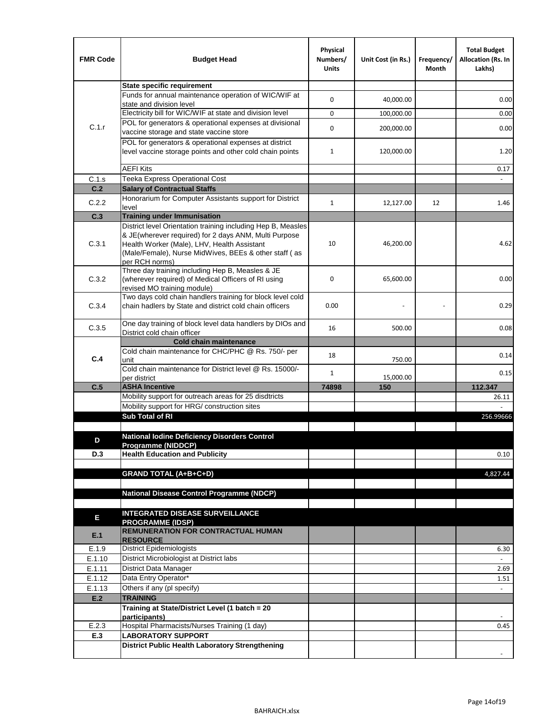| <b>FMR Code</b> | <b>Budget Head</b>                                                                                                    | Physical<br>Numbers/<br><b>Units</b> | Unit Cost (in Rs.) | Frequency/<br>Month | <b>Total Budget</b><br>Allocation (Rs. In<br>Lakhs) |
|-----------------|-----------------------------------------------------------------------------------------------------------------------|--------------------------------------|--------------------|---------------------|-----------------------------------------------------|
|                 | <b>State specific requirement</b>                                                                                     |                                      |                    |                     |                                                     |
|                 | Funds for annual maintenance operation of WIC/WIF at                                                                  | 0                                    | 40,000.00          |                     | 0.00                                                |
|                 | state and division level                                                                                              |                                      |                    |                     |                                                     |
|                 | Electricity bill for WIC/WIF at state and division level                                                              | 0                                    | 100,000.00         |                     | 0.00                                                |
| C.1.r           | POL for generators & operational expenses at divisional<br>vaccine storage and state vaccine store                    | 0                                    | 200,000.00         |                     | 0.00                                                |
|                 | POL for generators & operational expenses at district                                                                 |                                      |                    |                     |                                                     |
|                 | level vaccine storage points and other cold chain points                                                              | 1                                    | 120,000.00         |                     | 1.20                                                |
|                 |                                                                                                                       |                                      |                    |                     |                                                     |
|                 | <b>AEFI Kits</b>                                                                                                      |                                      |                    |                     | 0.17                                                |
| C.1.s           | Teeka Express Operational Cost                                                                                        |                                      |                    |                     |                                                     |
| C.2             | <b>Salary of Contractual Staffs</b><br>Honorarium for Computer Assistants support for District                        |                                      |                    |                     |                                                     |
| C.2.2           | level                                                                                                                 | $\mathbf{1}$                         | 12,127.00          | 12                  | 1.46                                                |
| C.3             | <b>Training under Immunisation</b>                                                                                    |                                      |                    |                     |                                                     |
|                 | District level Orientation training including Hep B, Measles                                                          |                                      |                    |                     |                                                     |
|                 | & JE(wherever required) for 2 days ANM, Multi Purpose                                                                 |                                      |                    |                     |                                                     |
| C.3.1           | Health Worker (Male), LHV, Health Assistant<br>(Male/Female), Nurse MidWives, BEEs & other staff (as                  | 10                                   | 46,200.00          |                     | 4.62                                                |
|                 | per RCH norms)                                                                                                        |                                      |                    |                     |                                                     |
|                 | Three day training including Hep B, Measles & JE                                                                      |                                      |                    |                     |                                                     |
| C.3.2           | (wherever required) of Medical Officers of RI using                                                                   | 0                                    | 65,600.00          |                     | 0.00                                                |
|                 | revised MO training module)                                                                                           |                                      |                    |                     |                                                     |
| C.3.4           | Two days cold chain handlers training for block level cold<br>chain hadlers by State and district cold chain officers | 0.00                                 |                    |                     | 0.29                                                |
|                 |                                                                                                                       |                                      |                    |                     |                                                     |
| C.3.5           | One day training of block level data handlers by DIOs and                                                             | 16                                   | 500.00             |                     | 0.08                                                |
|                 | District cold chain officer                                                                                           |                                      |                    |                     |                                                     |
|                 | <b>Cold chain maintenance</b>                                                                                         |                                      |                    |                     |                                                     |
| C.4             | Cold chain maintenance for CHC/PHC @ Rs. 750/- per<br>unit                                                            | 18                                   | 750.00             |                     | 0.14                                                |
|                 | Cold chain maintenance for District level @ Rs. 15000/-                                                               | $\mathbf{1}$                         |                    |                     | 0.15                                                |
|                 | per district                                                                                                          |                                      | 15,000.00          |                     |                                                     |
| C.5             | <b>ASHA Incentive</b>                                                                                                 | 74898                                | 150                |                     | 112.347                                             |
|                 | Mobility support for outreach areas for 25 disdtricts                                                                 |                                      |                    |                     | 26.11                                               |
|                 | Mobility support for HRG/ construction sites<br>Sub Total of RI                                                       |                                      |                    |                     |                                                     |
|                 |                                                                                                                       |                                      |                    |                     | 256.99666                                           |
|                 | National Iodine Deficiency Disorders Control                                                                          |                                      |                    |                     |                                                     |
| D               | Programme (NIDDCP)                                                                                                    |                                      |                    |                     |                                                     |
| D.3             | <b>Health Education and Publicity</b>                                                                                 |                                      |                    |                     | 0.10                                                |
|                 |                                                                                                                       |                                      |                    |                     |                                                     |
|                 | <b>GRAND TOTAL (A+B+C+D)</b>                                                                                          |                                      |                    |                     | 4,827.44                                            |
|                 | <b>National Disease Control Programme (NDCP)</b>                                                                      |                                      |                    |                     |                                                     |
|                 |                                                                                                                       |                                      |                    |                     |                                                     |
|                 | <b>INTEGRATED DISEASE SURVEILLANCE</b>                                                                                |                                      |                    |                     |                                                     |
| E               | <b>PROGRAMME (IDSP)</b>                                                                                               |                                      |                    |                     |                                                     |
| E.1             | <b>REMUNERATION FOR CONTRACTUAL HUMAN</b>                                                                             |                                      |                    |                     |                                                     |
|                 | <b>RESOURCE</b><br><b>District Epidemiologists</b>                                                                    |                                      |                    |                     |                                                     |
| E.1.9<br>E.1.10 | District Microbiologist at District labs                                                                              |                                      |                    |                     | 6.30                                                |
| E.1.11          | District Data Manager                                                                                                 |                                      |                    |                     | 2.69                                                |
| E.1.12          | Data Entry Operator*                                                                                                  |                                      |                    |                     | 1.51                                                |
| E.1.13          | Others if any (pl specify)                                                                                            |                                      |                    |                     |                                                     |
| E.2             | <b>TRAINING</b>                                                                                                       |                                      |                    |                     |                                                     |
|                 | Training at State/District Level (1 batch = 20                                                                        |                                      |                    |                     |                                                     |
|                 | participants)                                                                                                         |                                      |                    |                     | $\overline{\phantom{a}}$                            |
| E.2.3           | Hospital Pharmacists/Nurses Training (1 day)                                                                          |                                      |                    |                     | 0.45                                                |
| E.3             | <b>LABORATORY SUPPORT</b><br><b>District Public Health Laboratory Strengthening</b>                                   |                                      |                    |                     |                                                     |
|                 |                                                                                                                       |                                      |                    |                     | $\overline{\phantom{a}}$                            |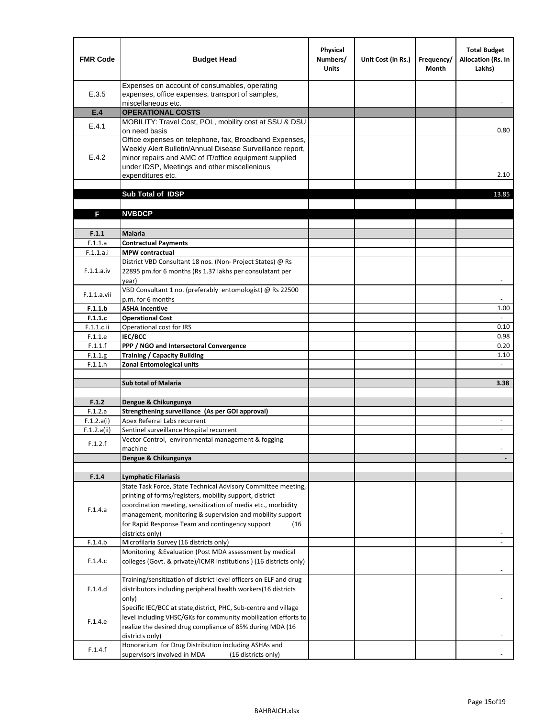| <b>FMR Code</b> | <b>Budget Head</b>                                                                                                                                                                                                                                | Physical<br>Numbers/<br><b>Units</b> | Unit Cost (in Rs.) | Frequency/<br><b>Month</b> | <b>Total Budget</b><br>Allocation (Rs. In<br>Lakhs) |
|-----------------|---------------------------------------------------------------------------------------------------------------------------------------------------------------------------------------------------------------------------------------------------|--------------------------------------|--------------------|----------------------------|-----------------------------------------------------|
| E.3.5           | Expenses on account of consumables, operating<br>expenses, office expenses, transport of samples,<br>miscellaneous etc.                                                                                                                           |                                      |                    |                            |                                                     |
| E.4             | <b>OPERATIONAL COSTS</b>                                                                                                                                                                                                                          |                                      |                    |                            |                                                     |
| E.4.1           | MOBILITY: Travel Cost, POL, mobility cost at SSU & DSU<br>on need basis                                                                                                                                                                           |                                      |                    |                            | 0.80                                                |
| E.4.2           | Office expenses on telephone, fax, Broadband Expenses,<br>Weekly Alert Bulletin/Annual Disease Surveillance report,<br>minor repairs and AMC of IT/office equipment supplied<br>under IDSP, Meetings and other miscellenious<br>expenditures etc. |                                      |                    |                            | 2.10                                                |
|                 | Sub Total of IDSP                                                                                                                                                                                                                                 |                                      |                    |                            | 13.85                                               |
|                 |                                                                                                                                                                                                                                                   |                                      |                    |                            |                                                     |
| F               | <b>NVBDCP</b>                                                                                                                                                                                                                                     |                                      |                    |                            |                                                     |
| F.1.1           | <b>Malaria</b>                                                                                                                                                                                                                                    |                                      |                    |                            |                                                     |
| F.1.1.a         | <b>Contractual Payments</b>                                                                                                                                                                                                                       |                                      |                    |                            |                                                     |
| F.1.1.a.i       | <b>MPW</b> contractual                                                                                                                                                                                                                            |                                      |                    |                            |                                                     |
| F.1.1.a.iv      | District VBD Consultant 18 nos. (Non-Project States) @ Rs<br>22895 pm.for 6 months (Rs 1.37 lakhs per consulatant per<br>year)                                                                                                                    |                                      |                    |                            | $\overline{\phantom{a}}$                            |
| F.1.1.a.vii     | VBD Consultant 1 no. (preferably entomologist) @ Rs 22500<br>p.m. for 6 months                                                                                                                                                                    |                                      |                    |                            |                                                     |
| F.1.1.b         | <b>ASHA Incentive</b>                                                                                                                                                                                                                             |                                      |                    |                            | 1.00                                                |
| F.1.1.c         | <b>Operational Cost</b>                                                                                                                                                                                                                           |                                      |                    |                            | $\overline{\phantom{a}}$                            |
| F.1.1.c.ii      | Operational cost for IRS                                                                                                                                                                                                                          |                                      |                    |                            | 0.10                                                |
| F.1.1.e         | <b>IEC/BCC</b>                                                                                                                                                                                                                                    |                                      |                    |                            | 0.98                                                |
| F.1.1.f         | PPP / NGO and Intersectoral Convergence                                                                                                                                                                                                           |                                      |                    |                            | 0.20                                                |
| F.1.1.g         | <b>Training / Capacity Building</b>                                                                                                                                                                                                               |                                      |                    |                            | 1.10                                                |
| F.1.1.h         | <b>Zonal Entomological units</b>                                                                                                                                                                                                                  |                                      |                    |                            | $\blacksquare$                                      |
|                 | <b>Sub total of Malaria</b>                                                                                                                                                                                                                       |                                      |                    |                            | 3.38                                                |
| F.1.2           | Dengue & Chikungunya                                                                                                                                                                                                                              |                                      |                    |                            |                                                     |
| F.1.2.a         | Strengthening surveillance (As per GOI approval)                                                                                                                                                                                                  |                                      |                    |                            |                                                     |
| F.1.2.a(i)      | Apex Referral Labs recurrent                                                                                                                                                                                                                      |                                      |                    |                            | $\overline{\phantom{a}}$                            |
| F.1.2.a(ii)     | Sentinel surveillance Hospital recurrent                                                                                                                                                                                                          |                                      |                    |                            | $\overline{\phantom{a}}$                            |
| F.1.2.f         | Vector Control, environmental management & fogging<br>machine                                                                                                                                                                                     |                                      |                    |                            |                                                     |
|                 | Dengue & Chikungunya                                                                                                                                                                                                                              |                                      |                    |                            |                                                     |
|                 |                                                                                                                                                                                                                                                   |                                      |                    |                            |                                                     |
| F.1.4           | Lymphatic Filariasis<br>State Task Force, State Technical Advisory Committee meeting,                                                                                                                                                             |                                      |                    |                            |                                                     |
|                 | printing of forms/registers, mobility support, district                                                                                                                                                                                           |                                      |                    |                            |                                                     |
|                 | coordination meeting, sensitization of media etc., morbidity                                                                                                                                                                                      |                                      |                    |                            |                                                     |
| F.1.4.a         | management, monitoring & supervision and mobility support                                                                                                                                                                                         |                                      |                    |                            |                                                     |
|                 | for Rapid Response Team and contingency support<br>(16                                                                                                                                                                                            |                                      |                    |                            |                                                     |
|                 | districts only)                                                                                                                                                                                                                                   |                                      |                    |                            |                                                     |
| F.1.4.b         | Microfilaria Survey (16 districts only)                                                                                                                                                                                                           |                                      |                    |                            |                                                     |
| F.1.4.c         | Monitoring & Evaluation (Post MDA assessment by medical<br>colleges (Govt. & private)/ICMR institutions ) (16 districts only)                                                                                                                     |                                      |                    |                            |                                                     |
|                 |                                                                                                                                                                                                                                                   |                                      |                    |                            |                                                     |
| F.1.4.d         | Training/sensitization of district level officers on ELF and drug<br>distributors including peripheral health workers(16 districts                                                                                                                |                                      |                    |                            |                                                     |
|                 | only)                                                                                                                                                                                                                                             |                                      |                    |                            |                                                     |
|                 | Specific IEC/BCC at state, district, PHC, Sub-centre and village                                                                                                                                                                                  |                                      |                    |                            |                                                     |
| F.1.4.e         | level including VHSC/GKs for community mobilization efforts to<br>realize the desired drug compliance of 85% during MDA (16                                                                                                                       |                                      |                    |                            |                                                     |
|                 | districts only)<br>Honorarium for Drug Distribution including ASHAs and                                                                                                                                                                           |                                      |                    |                            |                                                     |
| F.1.4.f         | supervisors involved in MDA<br>(16 districts only)                                                                                                                                                                                                |                                      |                    |                            |                                                     |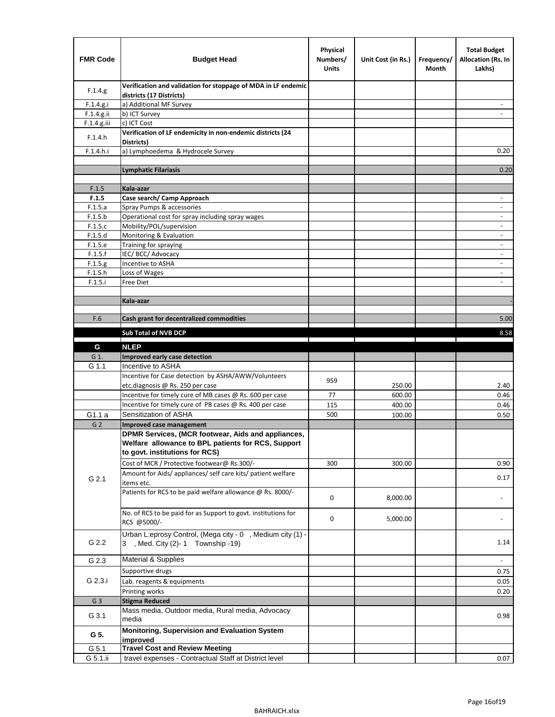| <b>FMR Code</b> | <b>Budget Head</b>                                                                                       | Physical<br>Numbers/<br><b>Units</b> | Unit Cost (in Rs.)                                                                                                   | Frequency/<br>Month            | <b>Total Budget</b><br>Allocation (Rs. In<br>Lakhs) |
|-----------------|----------------------------------------------------------------------------------------------------------|--------------------------------------|----------------------------------------------------------------------------------------------------------------------|--------------------------------|-----------------------------------------------------|
| F.1.4.g.        | Verification and validation for stoppage of MDA in LF endemic<br>districts (17 Districts)                |                                      |                                                                                                                      |                                |                                                     |
| F.1.4.g.i       | a) Additional MF Survey                                                                                  |                                      |                                                                                                                      |                                |                                                     |
| F.1.4.g.ii      | b) ICT Survey                                                                                            |                                      |                                                                                                                      |                                |                                                     |
| $F.1.4.g.$ iii  | c) ICT Cost                                                                                              |                                      |                                                                                                                      |                                |                                                     |
| F.1.4.h         | Verification of LF endemicity in non-endemic districts (24<br>Districts)                                 |                                      |                                                                                                                      |                                |                                                     |
| F.1.4.h.i       | a) Lymphoedema & Hydrocele Survey                                                                        |                                      |                                                                                                                      |                                | 0.20                                                |
|                 | <b>Lymphatic Filariasis</b>                                                                              |                                      |                                                                                                                      |                                | 0.20                                                |
|                 |                                                                                                          |                                      |                                                                                                                      |                                |                                                     |
| F.1.5           | Kala-azar                                                                                                |                                      |                                                                                                                      |                                |                                                     |
| F.1.5           | Case search/ Camp Approach                                                                               |                                      |                                                                                                                      |                                | $\overline{\phantom{a}}$                            |
| F.1.5.a         | Spray Pumps & accessories                                                                                |                                      |                                                                                                                      |                                | ٠                                                   |
| F.1.5.b         | Operational cost for spray including spray wages                                                         |                                      |                                                                                                                      |                                |                                                     |
| F.1.5.c         | Mobility/POL/supervision                                                                                 |                                      |                                                                                                                      |                                | $\blacksquare$                                      |
| F.1.5.d         | Monitoring & Evaluation                                                                                  |                                      |                                                                                                                      |                                | $\overline{\phantom{a}}$                            |
| F.1.5.e         | Training for spraying                                                                                    |                                      |                                                                                                                      |                                | $\overline{\phantom{m}}$                            |
| F.1.5.f         | IEC/BCC/Advocacy                                                                                         |                                      |                                                                                                                      |                                |                                                     |
| F.1.5.g         | Incentive to ASHA                                                                                        |                                      |                                                                                                                      |                                | $\overline{\phantom{a}}$                            |
| F.1.5.h         | Loss of Wages                                                                                            |                                      |                                                                                                                      |                                | $\overline{\phantom{a}}$                            |
| F.1.5.i         | Free Diet                                                                                                |                                      |                                                                                                                      |                                |                                                     |
|                 |                                                                                                          |                                      |                                                                                                                      |                                |                                                     |
|                 | Kala-azar                                                                                                |                                      |                                                                                                                      |                                |                                                     |
| F.6             | Cash grant for decentralized commodities                                                                 |                                      |                                                                                                                      |                                | 5.00                                                |
|                 |                                                                                                          |                                      |                                                                                                                      |                                |                                                     |
|                 | Sub Total of NVB DCP                                                                                     |                                      | <u> Tanzania de la contrada de la contrada de la contrada de la contrada de la contrada de la contrada de la con</u> | the property of the control of | 8.58                                                |
| G               | <b>NLEP</b>                                                                                              |                                      |                                                                                                                      |                                |                                                     |
| G 1.            | Improved early case detection                                                                            |                                      |                                                                                                                      |                                |                                                     |
| G 1.1           | Incentive to ASHA                                                                                        |                                      |                                                                                                                      |                                |                                                     |
|                 | Incentive for Case detection by ASHA/AWW/Volunteers                                                      |                                      |                                                                                                                      |                                |                                                     |
|                 | etc.diagnosis @ Rs. 250 per case                                                                         | 959                                  | 250.00                                                                                                               |                                | 2.40                                                |
|                 | Incentive for timely cure of MB cases @ Rs. 600 per case                                                 | 77                                   | 600.00                                                                                                               |                                | 0.46                                                |
|                 | Incentive for timely cure of PB cases @ Rs. 400 per case                                                 | 115                                  | 400.00                                                                                                               |                                | 0.46                                                |
| G1.1 a          | Sensitization of ASHA                                                                                    | 500                                  | 100.00                                                                                                               |                                | 0.50                                                |
| G <sub>2</sub>  | <b>Improved case management</b>                                                                          |                                      |                                                                                                                      |                                |                                                     |
|                 | DPMR Services, (MCR footwear, Aids and appliances,<br>Welfare allowance to BPL patients for RCS, Support |                                      |                                                                                                                      |                                |                                                     |
|                 | to govt. institutions for RCS)                                                                           |                                      |                                                                                                                      |                                |                                                     |
|                 | Cost of MCR / Protective footwear@ Rs.300/-                                                              | 300                                  | 300.00                                                                                                               |                                | 0.90                                                |
| G 2.1           | Amount for Aids/ appliances/ self care kits/ patient welfare<br>items etc.                               |                                      |                                                                                                                      |                                | 0.17                                                |
|                 | Patients for RCS to be paid welfare allowance @ Rs. 8000/-                                               | 0                                    | 8,000.00                                                                                                             |                                |                                                     |
|                 | No. of RCS to be paid for as Support to govt. institutions for<br>RCS @5000/-                            | 0                                    | 5,000.00                                                                                                             |                                |                                                     |
| G 2.2           | Urban L:eprosy Control, (Mega city - 0, Medium city (1) -<br>3 , Med. City (2)-1 Township -19)           |                                      |                                                                                                                      |                                | 1.14                                                |
| G 2.3           | Material & Supplies                                                                                      |                                      |                                                                                                                      |                                | $\blacksquare$                                      |
|                 | Supportive drugs                                                                                         |                                      |                                                                                                                      |                                | 0.75                                                |
| G 2.3.i         | Lab. reagents & equipments                                                                               |                                      |                                                                                                                      |                                | 0.05                                                |
|                 | Printing works                                                                                           |                                      |                                                                                                                      |                                | 0.20                                                |
| G <sub>3</sub>  | <b>Stigma Reduced</b>                                                                                    |                                      |                                                                                                                      |                                |                                                     |
|                 | Mass media, Outdoor media, Rural media, Advocacy                                                         |                                      |                                                                                                                      |                                |                                                     |
| G 3.1           | media                                                                                                    |                                      |                                                                                                                      |                                | 0.98                                                |
| G 5.            | Monitoring, Supervision and Evaluation System<br>improved                                                |                                      |                                                                                                                      |                                |                                                     |
| G 5.1           | <b>Travel Cost and Review Meeting</b>                                                                    |                                      |                                                                                                                      |                                |                                                     |
| G 5.1.ii        | travel expenses - Contractual Staff at District level                                                    |                                      |                                                                                                                      |                                | 0.07                                                |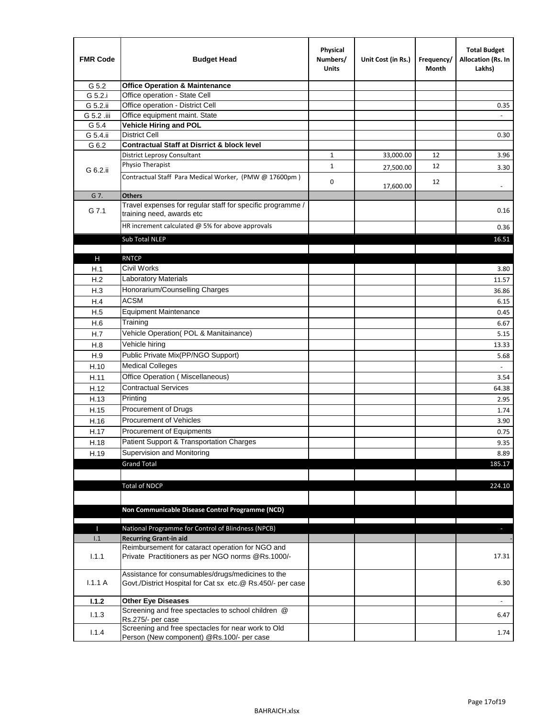| <b>FMR Code</b> | <b>Budget Head</b>                                                                                              | Physical<br>Numbers/<br><b>Units</b> | Unit Cost (in Rs.) | Frequency/<br>Month | <b>Total Budget</b><br>Allocation (Rs. In<br>Lakhs) |
|-----------------|-----------------------------------------------------------------------------------------------------------------|--------------------------------------|--------------------|---------------------|-----------------------------------------------------|
| G 5.2           | <b>Office Operation &amp; Maintenance</b>                                                                       |                                      |                    |                     |                                                     |
| G 5.2.i         | Office operation - State Cell                                                                                   |                                      |                    |                     |                                                     |
| G 5.2.ii        | Office operation - District Cell                                                                                |                                      |                    |                     | 0.35                                                |
| G 5.2 .iii      | Office equipment maint. State                                                                                   |                                      |                    |                     |                                                     |
| G 5.4           | <b>Vehicle Hiring and POL</b>                                                                                   |                                      |                    |                     |                                                     |
| G 5.4.ii        | <b>District Cell</b>                                                                                            |                                      |                    |                     | 0.30                                                |
| G 6.2           | <b>Contractual Staff at Disrrict &amp; block level</b>                                                          |                                      |                    |                     |                                                     |
|                 | <b>District Leprosy Consultant</b>                                                                              | 1                                    | 33,000.00          | 12                  | 3.96                                                |
| G 6.2.ii        | Physio Therapist                                                                                                | 1                                    | 27,500.00          | 12                  | 3.30                                                |
|                 | Contractual Staff Para Medical Worker, (PMW @ 17600pm)                                                          | 0                                    | 17,600.00          | 12                  | $\overline{\phantom{a}}$                            |
| G 7.            | <b>Others</b>                                                                                                   |                                      |                    |                     |                                                     |
| G 7.1           | Travel expenses for regular staff for specific programme /<br>training need, awards etc                         |                                      |                    |                     | 0.16                                                |
|                 | HR increment calculated $@$ 5% for above approvals                                                              |                                      |                    |                     | 0.36                                                |
|                 | Sub Total NLEP                                                                                                  |                                      |                    |                     | 16.51                                               |
|                 |                                                                                                                 |                                      |                    |                     |                                                     |
| н               | <b>RNTCP</b>                                                                                                    |                                      |                    |                     |                                                     |
| H.1             | Civil Works                                                                                                     |                                      |                    |                     | 3.80                                                |
| H.2             | Laboratory Materials                                                                                            |                                      |                    |                     | 11.57                                               |
| H.3             | Honorarium/Counselling Charges                                                                                  |                                      |                    |                     | 36.86                                               |
| H.4             | <b>ACSM</b>                                                                                                     |                                      |                    |                     | 6.15                                                |
| H.5             | <b>Equipment Maintenance</b>                                                                                    |                                      |                    |                     | 0.45                                                |
| H.6             | Training                                                                                                        |                                      |                    |                     | 6.67                                                |
| H.7             | Vehicle Operation(POL & Manitainance)                                                                           |                                      |                    |                     | 5.15                                                |
| H.8             | Vehicle hiring                                                                                                  |                                      |                    |                     | 13.33                                               |
| H.9             | Public Private Mix(PP/NGO Support)                                                                              |                                      |                    |                     | 5.68                                                |
| H.10            | <b>Medical Colleges</b>                                                                                         |                                      |                    |                     | ÷,                                                  |
| H.11            | Office Operation (Miscellaneous)                                                                                |                                      |                    |                     | 3.54                                                |
| H.12            | <b>Contractual Services</b>                                                                                     |                                      |                    |                     | 64.38                                               |
| H.13            | Printing                                                                                                        |                                      |                    |                     | 2.95                                                |
| H.15            | Procurement of Drugs                                                                                            |                                      |                    |                     | 1.74                                                |
| H.16            | Procurement of Vehicles                                                                                         |                                      |                    |                     | 3.90                                                |
| H.17            | Procurement of Equipments                                                                                       |                                      |                    |                     | 0.75                                                |
| H.18            | Patient Support & Transportation Charges                                                                        |                                      |                    |                     | 9.35                                                |
| H.19            | Supervision and Monitoring                                                                                      |                                      |                    |                     | 8.89                                                |
|                 | <b>Grand Total</b>                                                                                              |                                      |                    |                     | 185.17                                              |
|                 |                                                                                                                 |                                      |                    |                     |                                                     |
|                 | <b>Total of NDCP</b>                                                                                            |                                      |                    |                     | 224.10                                              |
|                 |                                                                                                                 |                                      |                    |                     |                                                     |
|                 |                                                                                                                 |                                      |                    |                     |                                                     |
|                 | Non Communicable Disease Control Programme (NCD)                                                                |                                      |                    |                     |                                                     |
| Т               | National Programme for Control of Blindness (NPCB)                                                              |                                      |                    |                     | ٠                                                   |
| 1.1             | <b>Recurring Grant-in aid</b>                                                                                   |                                      |                    |                     |                                                     |
|                 | Reimbursement for cataract operation for NGO and                                                                |                                      |                    |                     |                                                     |
| 1.1.1           | Private Practitioners as per NGO norms @Rs.1000/-                                                               |                                      |                    |                     | 17.31                                               |
| 1.1.1A          | Assistance for consumables/drugs/medicines to the<br>Govt./District Hospital for Cat sx etc.@ Rs.450/- per case |                                      |                    |                     | 6.30                                                |
| 1.1.2           | <b>Other Eye Diseases</b>                                                                                       |                                      |                    |                     |                                                     |
| 1.1.3           | Screening and free spectacles to school children @                                                              |                                      |                    |                     | 6.47                                                |
|                 | Rs.275/- per case                                                                                               |                                      |                    |                     |                                                     |
| 1.1.4           | Screening and free spectacles for near work to Old                                                              |                                      |                    |                     | 1.74                                                |
|                 | Person (New component) @Rs.100/- per case                                                                       |                                      |                    |                     |                                                     |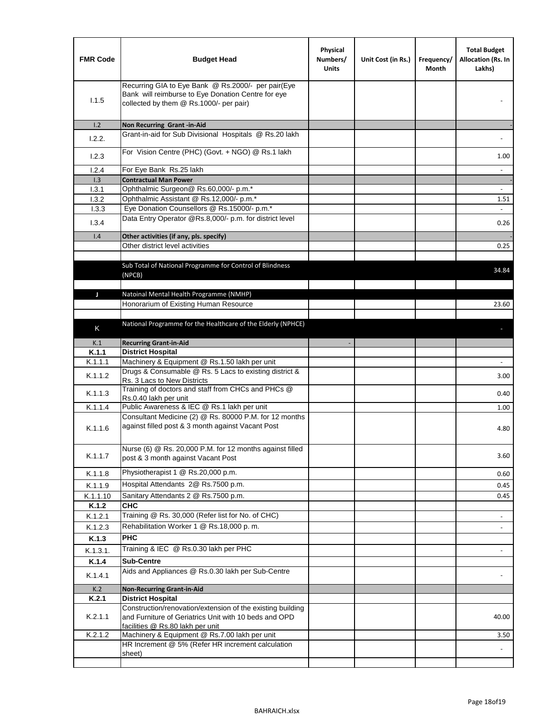| <b>FMR Code</b> | <b>Budget Head</b>                                                                                                                                      | Physical<br>Numbers/<br><b>Units</b> | Unit Cost (in Rs.) | Frequency/<br>Month | <b>Total Budget</b><br>Allocation (Rs. In<br>Lakhs) |
|-----------------|---------------------------------------------------------------------------------------------------------------------------------------------------------|--------------------------------------|--------------------|---------------------|-----------------------------------------------------|
| 1.1.5           | Recurring GIA to Eye Bank @ Rs.2000/- per pair(Eye<br>Bank will reimburse to Eye Donation Centre for eye<br>collected by them @ Rs.1000/- per pair)     |                                      |                    |                     |                                                     |
| 1.2             | Non Recurring Grant -in-Aid                                                                                                                             |                                      |                    |                     |                                                     |
| 1.2.2.          | Grant-in-aid for Sub Divisional Hospitals @ Rs.20 lakh                                                                                                  |                                      |                    |                     |                                                     |
| 1.2.3           | For Vision Centre (PHC) (Govt. + NGO) @ Rs.1 lakh                                                                                                       |                                      |                    |                     | 1.00                                                |
| 1.2.4           | For Eye Bank Rs.25 lakh                                                                                                                                 |                                      |                    |                     | $\blacksquare$                                      |
| 1.3             | <b>Contractual Man Power</b>                                                                                                                            |                                      |                    |                     |                                                     |
| 1.3.1           | Ophthalmic Surgeon@ Rs.60,000/- p.m.*                                                                                                                   |                                      |                    |                     |                                                     |
| 1.3.2<br>1.3.3  | Ophthalmic Assistant @ Rs.12,000/- p.m.*<br>Eye Donation Counsellors @ Rs.15000/- p.m.*                                                                 |                                      |                    |                     | 1.51<br>$\sim$                                      |
|                 | Data Entry Operator @Rs.8,000/- p.m. for district level                                                                                                 |                                      |                    |                     |                                                     |
| 1.3.4           |                                                                                                                                                         |                                      |                    |                     | 0.26                                                |
| 1.4             | Other activities (if any, pls. specify)                                                                                                                 |                                      |                    |                     |                                                     |
|                 | Other district level activities                                                                                                                         |                                      |                    |                     | 0.25                                                |
|                 | Sub Total of National Programme for Control of Blindness<br>(NPCB)                                                                                      |                                      |                    |                     | 34.84                                               |
| J               | Natoinal Mental Health Programme (NMHP)                                                                                                                 |                                      |                    |                     |                                                     |
|                 | Honorarium of Existing Human Resource                                                                                                                   |                                      |                    |                     | 23.60                                               |
|                 |                                                                                                                                                         |                                      |                    |                     |                                                     |
|                 | National Programme for the Healthcare of the Elderly (NPHCE)                                                                                            |                                      |                    |                     |                                                     |
| K               |                                                                                                                                                         |                                      |                    |                     |                                                     |
| K.1             | <b>Recurring Grant-in-Aid</b>                                                                                                                           |                                      |                    |                     |                                                     |
| K.1.1           | <b>District Hospital</b>                                                                                                                                |                                      |                    |                     |                                                     |
| K.1.1.1         | Machinery & Equipment @ Rs.1.50 lakh per unit                                                                                                           |                                      |                    |                     |                                                     |
| K.1.1.2         | Drugs & Consumable @ Rs. 5 Lacs to existing district &<br>Rs. 3 Lacs to New Districts                                                                   |                                      |                    |                     | 3.00                                                |
| K.1.1.3         | Training of doctors and staff from CHCs and PHCs @<br>Rs.0.40 lakh per unit                                                                             |                                      |                    |                     | 0.40                                                |
| K.1.1.4         | Public Awareness & IEC @ Rs.1 lakh per unit                                                                                                             |                                      |                    |                     | 1.00                                                |
| K.1.1.6         | Consultant Medicine (2) @ Rs. 80000 P.M. for 12 months<br>against filled post & 3 month against Vacant Post                                             |                                      |                    |                     | 4.80                                                |
| K.1.1.7         | Nurse (6) @ Rs. 20,000 P.M. for 12 months against filled<br>post & 3 month against Vacant Post                                                          |                                      |                    |                     | 3.60                                                |
| K.1.1.8         | Physiotherapist 1 @ Rs.20,000 p.m.                                                                                                                      |                                      |                    |                     | 0.60                                                |
| K.1.1.9         | Hospital Attendants 2@ Rs.7500 p.m.                                                                                                                     |                                      |                    |                     | 0.45                                                |
| K.1.1.10        | Sanitary Attendants 2 @ Rs.7500 p.m.                                                                                                                    |                                      |                    |                     | 0.45                                                |
| K.1.2           | <b>CHC</b>                                                                                                                                              |                                      |                    |                     |                                                     |
| K.1.2.1         | Training @ Rs. 30,000 (Refer list for No. of CHC)                                                                                                       |                                      |                    |                     |                                                     |
| K.1.2.3         | Rehabilitation Worker 1 @ Rs.18,000 p.m.                                                                                                                |                                      |                    |                     |                                                     |
| K.1.3           | <b>PHC</b>                                                                                                                                              |                                      |                    |                     |                                                     |
| K.1.3.1.        | Training & IEC @ Rs.0.30 lakh per PHC                                                                                                                   |                                      |                    |                     |                                                     |
| K.1.4           | <b>Sub-Centre</b>                                                                                                                                       |                                      |                    |                     |                                                     |
|                 | Aids and Appliances @ Rs.0.30 lakh per Sub-Centre                                                                                                       |                                      |                    |                     |                                                     |
| K.1.4.1         |                                                                                                                                                         |                                      |                    |                     |                                                     |
| K.2             | <b>Non-Recurring Grant-in-Aid</b>                                                                                                                       |                                      |                    |                     |                                                     |
| K.2.1           | <b>District Hospital</b>                                                                                                                                |                                      |                    |                     |                                                     |
| K.2.1.1         | Construction/renovation/extension of the existing building<br>and Furniture of Geriatrics Unit with 10 beds and OPD<br>facilities @ Rs.80 lakh per unit |                                      |                    |                     | 40.00                                               |
| K.2.1.2         | Machinery & Equipment @ Rs.7.00 lakh per unit                                                                                                           |                                      |                    |                     | 3.50                                                |
|                 | HR Increment @ 5% (Refer HR increment calculation                                                                                                       |                                      |                    |                     |                                                     |
|                 | sheet)                                                                                                                                                  |                                      |                    |                     |                                                     |